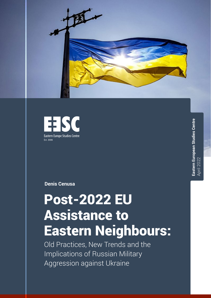



**Eastern European Studies Centre** Eastern European Studies Centre April 2022

**Denis Cenusa**

# Post-2022 EU Assistance to Eastern Neighbours:

Old Practices, New Trends and the Implications of Russian Military Aggression against Ukraine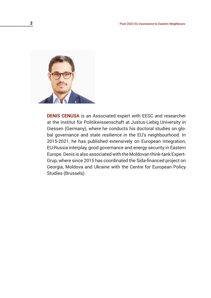

**DENIS CENUSA** is an Associated expert with EESC and researcher at the Institut für Politikwissenschaft at Justus-Liebig University in Giessen (Germany), where he conducts his doctoral studies on global governance and state resilience in the EU's neighbourhood. In 2015-2021, he has published extensively on European integration, EU-Russia interplay, good governance and energy security in Eastern Europe. Denis is also associated with the Moldovan think-tank Expert-Grup, where since 2015 has coordinated the Sida-financed project on Georgia, Moldova and Ukraine with the Centre for European Policy Studies (Brussels).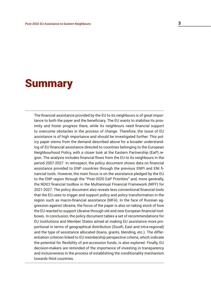## **Summary**

The financial assistance provided by the EU to its neighbours is of great importance to both the payer and the beneficiary. The EU wants to stabilise its proximity and foster progress there, while its neighbours need financial support to overcome obstacles in the process of change. Therefore, the issue of EU assistance is of high importance and should be investigated further. This policy paper stems from the demand described above for a broader understanding of EU financial assistance directed to countries belonging to the European Neighbourhood Policy, with a closer look at the Eastern Partnership (EaP) region. The analysis includes financial flows from the EU to its neighbours in the period 2007-2027. In retrospect, the policy document shows data on financial assistance provided to ENP countries through the previous ENPI and ENI financial tools. However, the main focus is on the assistance pledged by the EU to the ENP region through the "Post-2020 EaP Priorities" and, more generally, the NDICI financial toolbox in the Multiannual Financial Framework (MFF) for 2021-2027. The policy document also reveals less conventional financial tools that the EU uses to trigger and support policy and policy transformation in the region such as macro-financial assistance (MFA). In the face of Russian aggression against Ukraine, the focus of the paper is also on taking stock of how the EU reacted to support Ukraine through old and new European financial toolboxes. In conclusion, the policy document tables a set of recommendations for EU institutions and Member States aimed at making EU assistance more proportional in terms of geographical distribution (South, East and intra-regional) and the type of assistance allocated (loans, grants, blending, etc.). The differentiation criterion linked to EU membership perspective criteria, which indicate the potential for flexibility of pre-accession funds, is also explored. Finally, EU decision-makers are reminded of the importance of investing in transparency and inclusiveness in the process of establishing the conditionality mechanism towards third countries.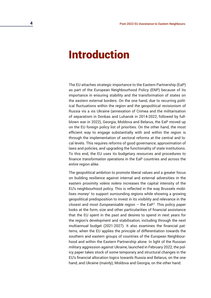## Introduction

The EU attaches strategic importance to the Eastern Partnership (EaP) as part of the European Neighbourhood Policy (ENP) because of its importance in ensuring stability and the transformation of states on the eastern external borders. On the one hand, due to recurring political fluctuations within the region and the geopolitical revisionism of Russia vis a vis Ukraine (annexation of Crimea and the militarisation of separatism in Donbas and Luhansk in 2014-2022, followed by fullblown war in 2022), Georgia, Moldova and Belarus, the EaP moved up on the EU foreign policy list of priorities. On the other hand, the most efficient way to engage substantially with and within the region is through the implementation of sectoral reforms at the central and local levels. This requires reforms of good governance, approximation of laws and policies, and upgrading the functionality of state institutions. To this end, the EU uses its budgetary resources and procedures to finance *transformation operations* in the EaP countries and across the entire region alike.

The geopolitical ambition to promote liberal values and a greater focus on building resilience against internal and external adversities in the eastern proximity *volens nolens* increases the capital intensity of the EU's neighbourhood policy. This is reflected in the way Brussels mobilises money<sup>1</sup> to support surrounding regions while showing a growing geopolitical predisposition to invest in its visibility and relevance in the closest and most *Europeanisable* region – the EaP.2 This policy paper looks at the form, size and other particularities of financial assistance that the EU spent in the past and desires to spend in next years for the region's development and stabilisation, including through the next multiannual budget (2021-2027). It also examines the financial patterns, when the EU applies the principle of differentiation towards the southern and eastern groups of countries of the European Neighbourhood and within the Eastern Partnership alone. In light of the Russian military aggression against Ukraine, launched in February 2022, the policy paper takes stock of some temporary and structural changes in the EU's financial allocation logics towards Russia and Belarus, on the one hand, and Ukraine (mainly), Moldova and Georgia, on the other hand.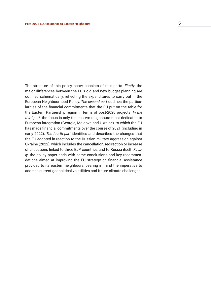The structure of this policy paper consists of four parts. *Firstly*, the major differences between the EU's old and new budget planning are outlined schematically, reflecting the expenditures to carry out in the European Neighbourhood Policy. *The second part* outlines the particularities of the financial commitments that the EU put on the table for the Eastern Partnership region in terms of post-2020 projects. *In the third part*, the focus is only the eastern neighbours most dedicated to European integration (Georgia, Moldova and Ukraine), to which the EU has made financial commitments over the course of 2021 (including in early 2022). *The fourth part* identifies and describes the changes that the EU adopted in reaction to the Russian military aggression against Ukraine (2022), which includes the cancellation, redirection or increase of allocations linked to three EaP countries and to Russia itself. *Finally*, the policy paper ends with some conclusions and key recommendations aimed at improving the EU strategy on financial assistance provided to its eastern neighbours, bearing in mind the imperative to address current geopolitical volatilities and future climate challenges.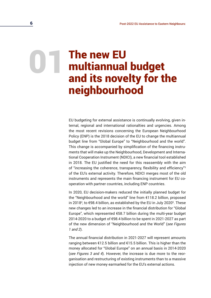# 01 The new EU<br>multiannual<br>and its nove multiannual budget and its novelty for the neighbourhood

EU budgeting for external assistance is continually evolving, given internal, regional and international rationalties and urgencies. Among the most recent revisions concerning the European Neighbourhood Policy (ENP) is the 2018 decision of the EU to change the multiannual budget line from "Global Europe" to "Neighbourhood and the world". This change is accompanied by simplification of the financing instruments that will make up the Neighbourhood, Development and International Cooperation Instrument (NDICI), a new financial tool established in 2018. The EU justified the need for this reassembly with the aim of "increasing the coherence, transparency, flexibility and efficiency"<sup>3</sup> of the EU's external activity. Therefore, NDICI merges most of the old instruments and represents the main financing instrument for EU cooperation with partner countries, including ENP countries.

In 2020, EU decision-makers reduced the initially planned budget for the "Neighbourhood and the world" line from €118.2 billion, proposed in 20184 , to €98.4 billion, as established by the EU in July 20205 . These new changes led to an increase in the financial distribution for "Global Europe", which represented €58.7 billion during the multi-year budget 2014-2020 to a budget of €98.4 billion to be spent in 2021-2027 as part of the new dimension of "Neighbourhood and the World" (*see Figures 1 and 2*).

The annual financial distribution in 2021-2027 will represent amounts ranging between €12.5 billion and €15.5 billion. This is higher than the money allocated for "Global Europe" on an annual basis in 2014-2020 (*see Figures 3 and 4*). However, the increase is due more to the reorganisation and restructuring of existing instruments than to a massive injection of new money earmarked for the EU's external actions.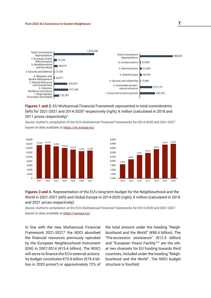

**Figures 1 and 2:** EU Multiannual Financial Framework represented in total commitments (left) for 2021-2027 and 2014-2020<sup>6</sup> respectively (right), € million (calculated in 2018 and 2011 prices respectively)<sup>7</sup>

*Source*: Author's compilation of the EU's Multiannual Financial Frameworks for 2014-2020 and 2021-2027 based on data available at<https://ec.europa.eu/>





**Figures 3 and 4.** Representation of the EU's long-term budget for the Neighbourhood and the World in 2021-2027 (left) and Global Europe in 2014-2020 (right), € million (calculated in 2018 and 2021 prices respectively)

*Source*: Author's compilation of the EU's Multiannual Financial Frameworks for 2014-2020 and 2021-2027 based on data available at<https://europa.eu/>

In line with the new Multiannual Financial Framework 2021-2027,<sup>8</sup> the NDCI absorbed the financial resources previously operated by the European Neighbourhood Instrument (ENI) in 2007-2014 (€15.4 billion). The NDICI will serve to finance the EU's external actions. Its budget constitutes €70.8 billion (€79.4 billion in 2020 prices<sup>9</sup>) or approximately 72% of the total amount under the heading "Neighbourhood and the World" (€98.4 billion). The "Pre-accession assistance" (€12.5 billion) and "European Peace Facility"10 are the other two channels for EU funding towards third countries, included under the heading "Neighbourhood and the World". The NDCI budget structure is fourfold: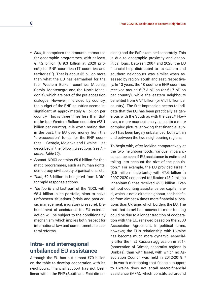- *First*, it comprises the amounts earmarked for geographic programmes, with at least €17.2 billion (€19.3 billion at 2020 prices<sup>11</sup>) for ENP countries (17 countries and territories<sup>12</sup>). That is about  $65$  billion more than what the EU has earmarked for the four Western Balkan countries (Albania, Serbia, Montenegro and the North Macedonia), which are part of the pre-accession dialogue. However, if divided by country, the budget of the ENP countries seems insignificant at approximately €1 billion per country. This is three times less than that of the four Western Balkan countries (€3.1 billion per country). It is worth noting that in the past, the EU used money from the "pre-accession" funds for the ENP countries – Georgia, Moldova and Ukraine – as described in the following sections (*see Annexes: Table 10*).
- *Second,* NDICI contains €5.6 billion for thematic programmes, such as human rights, democracy, civil society organisations, etc.
- *Third*, €2.8 billion is budgeted from NDICI for rapid response actions.
- *The fourth* and last part of the NDCI, with €8.4 billion in its portfolio, aims to solve unforeseen situations (crisis and post-crisis management, migratory pressure). Disbursement of assistance for EU external action will be subject to the conditionality mechanism, which implies both respect for international law and commitments to sectoral reforms.

#### **Intra- and interregional unbalanced EU assistance**

Although the EU has put almost €70 billion on the table to develop cooperation with its neighbours, financial support has not been linear within the ENP (South and East dimensions) and the EaP examined separately. This is due to geographic proximity and geopolitical logic. Between 2007 and 2020, the EU financial help distributed to its eastern and southern neighbours was similar when assessed by region: south and east, respectively. In 13 years, the 10 southern ENP countries received around €17.3 billion (or €1.7 billion per country), while the eastern neighbours benefited from €7.7 billion (or €1.1 billion per country). The first impression seems to indicate that the EU has been practically as generous with the South as with the East.13 However, a more nuanced analysis paints a more complex picture, showing that financial support has been largely unbalanced, both within and between the two neighbouring regions.

To begin with, after looking comparatively at the two neighbourhoods, various imbalances can be seen if EU assistance is estimated taking into account the size of the population.<sup>14</sup> For example, the EU provided Israel<sup>15</sup> (8.6 million inhabitants) with €7.6 billion in 2007-2020 compared to Ukraine (43.2 million inhabitants) that received €2.3 billion. Even without counting assistance per capita, Israel, which is not a direct neighbour, has benefited from almost 4 times more financial allocations than Ukraine, which borders the EU. The fact that Israel had access to more funding could be due to a longer tradition of cooperation with the EU, renewed based on the 2000 Association Agreement. In political terms, however, the EU's relationship with Ukraine has become much more dynamic, especially after the first Russian aggression in 2014 (annexation of Crimea, separatist regions in Donbas), than with Israel, with which no Association Council was held in 2012-2019.16 It is worth mentioning that financial support to Ukraine does not entail macro-financial assistance (MFA), which constituted around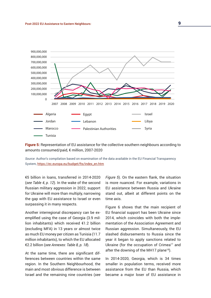

**Figure 5:** Representation of EU assistance for the collective southern neighbours according to amounts consumed/paid, € million, 2007-2020

*Source*: Author's compilation based on examination of the data available in the EU Financial Transparency System, [https://ec.europa.eu/budget/fts/index\\_en.htm](https://ec.europa.eu/budget/fts/index_en.htm)

€5 billion in loans, transferred in 2014-2020 (*see Table 4, p. 12*). In the wake of the second Russian military aggression in 2022, support for Ukraine will more than multiply, narrowing the gap with EU assistance to Israel or even surpassing it in many respects.

Another interregional discrepancy can be exemplified using the case of Georgia (3.9 million inhabitants) which received €1.2 billion (excluding MFA) in 13 years or almost twice as much EU money per citizen as Tunisia (11.7 million inhabitants), to which the EU allocated €2.2 billion (*see Annexes: Table 8, p. 18*).

At the same time, there are significant differences between countries within the same region. In the Southern Neighbourhood, the main and most obvious difference is between Israel and the remaining nine countries (*see*  *Figure 5*). On the eastern flank, the situation is more nuanced. For example, variations in EU assistance between Russia and Ukraine stand out, albeit at different points on the time axis.

Figure 6 shows that the main recipient of EU financial support has been Ukraine since 2014, which coincides with both the implementation of the Association Agreement and Russian aggression. Simultaneously, the EU slashed disbursements to Russia since the year it began to apply sanctions related to Ukraine (for the occupation of Crimea<sup>17</sup> and after the downing of the MH17 plane<sup>18</sup>).

In 2014-2020, Georgia, which is 34 times smaller in population terms, received more assistance from the EU than Russia, which became a major loser of EU assistance in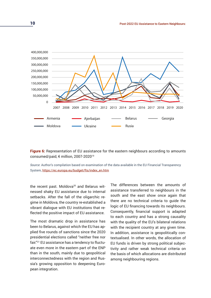

**Figure 6:** Representation of EU assistance for the eastern neighbours according to amounts consumed/paid, € million, 2007-202019

*Source*: Author's compilation based on examination of the data available in the EU Financial Transparency System, [https://ec.europa.eu/budget/fts/index\\_en.htm](https://ec.europa.eu/budget/fts/index_en.htm)

the recent past. Moldova<sup>20</sup> and Belarus witnessed shaky EU assistance due to internal setbacks. After the fall of the oligarchic regime in Moldova, the country re-established a vibrant dialogue with EU institutions that reflected the positive impact of EU assistance.

The most dramatic drop in assistance has been to Belarus, against which the EU has applied five rounds of sanctions since the 2020 presidential elections called "neither free nor fair."21 EU assistance has a tendency to fluctuate even more in the eastern part of the ENP than in the south, mainly due to geopolitical interconnectedness with the region and Russia's growing opposition to deepening European integration.

The differences between the amounts of assistance transferred to neighbours in the south and the east show once again that there are no technical criteria to guide the logic of EU financing towards its neighbours. Consequently, financial support is adapted to each country and has a strong causality with the quality of the EU's bilateral relations with the recipient country at any given time. In addition, assistance is geopolitically contextualised. In other words, the allocation of EU funds is driven by strong political subjectivity and rather weak technical criteria on the basis of which allocations are distributed among neighbouring regions.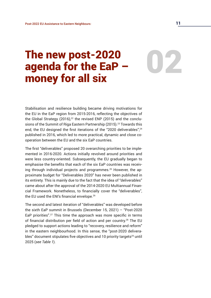# The new post-2020<br>agenda for the EaP –<br>money for all six agenda for the EaP – money for all six

Stabilisation and resilience building became driving motivations for the EU in the EaP region from 2015-2016, reflecting the objectives of the Global Strategy (2016), $22$  the revised ENP (2015) and the conclusions of the Summit of Riga Eastern Partnership (2015).<sup>23</sup> Towards this end, the EU designed the first iterations of the "2020 deliverables",<sup>24</sup> published in 2016, which led to more practical, dynamic and close cooperation between the EU and the six EaP countries.

The first "deliverables" proposed 20 overarching priorities to be implemented in 2016-2020. Actions initially revolved around priorities and were less country-oriented. Subsequently, the EU gradually began to emphasise the benefits that each of the six EaP countries was receiving through individual projects and programmes.<sup>25</sup> However, the approximate budget for "Deliverables 2020" has never been published in its entirety. This is mainly due to the fact that the idea of "deliverables" came about after the approval of the 2014-2020 EU Multiannual Financial Framework. Nonetheless, to financially cover the "deliverables", the EU used the ENI's financial envelope.<sup>26</sup>

The second and latest iteration of "deliverables" was developed before the sixth EaP summit in Brussels (December 15, 2021) – "Post-2020 EaP priorities".<sup>27</sup> This time the approach was more specific in terms of financial distribution per field of action and per country.28 The EU pledged to support actions leading to "recovery, resilience and reform" in the eastern neighbourhood. In this sense, the "post-2020 deliverables" document stipulates five objectives and 10 priority targets $29$  until 2025 (*see Table 1*).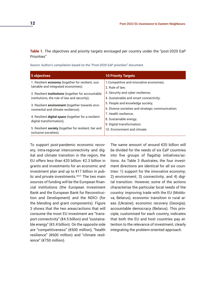**Table 1.** The objectives and priority targets envisaged per country under the "post-2020 EaP Priorities"

*Source*: Author's compilation based on the "Post-2020 EaP priorities" document.

| 5 objectives                                                                     | <b>10 Priority Targets</b>                        |
|----------------------------------------------------------------------------------|---------------------------------------------------|
| 1. Resilient economy (together for resilient, sus-                               | 1. Competitive and innovative economies;          |
| tainable and integrated economies);                                              | 2. Rule of law:                                   |
| 2. Resilient institutions (together for accountable                              | 3. Security and cyber resilience;                 |
| institutions, the rule of law and security);                                     | 4. Sustainable and smart connectivity:            |
| 3. Resilient environment (together towards envi-                                 | 5. People and knowledge society;                  |
| ronmental and climate resilience);                                               | 6. Diverse societies and strategic communication; |
|                                                                                  | 7. Health resilience:                             |
| 4. Resilient digital space (together for a resilient<br>digital transformation); | 8. Sustainable energy;                            |
|                                                                                  | 9. Digital transformation;                        |
| 5. Resilient society (together for resilient, fair and<br>inclusive societies).  | 10. Environment and climate.                      |

To support post-pandemic economic recovery, intra-regional interconnectivity and digital and climate transition in the region, the EU offers less than €20 billion: €2.3 billion in grants and investments for an economic and investment plan and up to €17 billion in public and private investments.<sup>30,31</sup> The two main sources of funding will be the European financial institutions (the European Investment Bank and the European Bank for Reconstruction and Development) and the NDICI (for the blending and grant components). Figure 3 shows that the two areas/actions that will consume the most EU investment are "transport connectivity" (€4.5 billion) and "sustainable energy" (€3.4 billion). On the opposite side are "competitiveness" (€500 million), "health resilience" (€600 million) and "climate resilience" (€750 million).

The same amount of around €20 billion will be divided for the needs of six EaP countries into five groups of flagship initiatives/actions. As Table 3 illustrates, the four investment directions are identical for all six countries: 1) support for the innovative economy; 2) environment; 3) connectivity; and 4) digital transition. However, some of the actions characterise the particular local needs of the country: improving trade with the EU (Moldova, Belarus); economic transition in rural areas (Ukraine); economic recovery (Georgia); accountable democracy (Belarus). This principle, customised for each country, indicates that both the EU and host countries pay attention to the relevance of investment, clearly integrating the problem-oriented approach.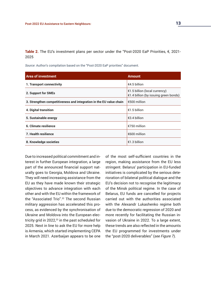**Table 2.** The EU's investment plans per sector under the "Post-2020 EaP Priorities, €, 2021- 2025

*Source*: Author's compilation based on the "Post-2020 EaP priorities" document.

| Area of investment                                                  | <b>Amount</b>                                                                    |
|---------------------------------------------------------------------|----------------------------------------------------------------------------------|
| 1. Transport connectivity                                           | €4.5 billion                                                                     |
| 2. Support for SMEs                                                 | €1.5 billion (local currency)<br>$\epsilon$ 1.4 billion (by issuing green bonds) |
| 3. Strengthen competitiveness and integration in the EU value chain | €500 million                                                                     |
| 4. Digital transition                                               | €1.5 billion                                                                     |
| 5. Sustainable energy                                               | €3.4 billion                                                                     |
| 6. Climate resilience                                               | €750 million                                                                     |
| <b>7. Health resilience</b>                                         | €600 million                                                                     |
| 8. Knowledge societies                                              | €1.3 billion                                                                     |

Due to increased political commitment and interest in further European integration, a large part of the announced financial support naturally goes to Georgia, Moldova and Ukraine. They will need increasing assistance from the EU as they have made known their strategic objectives to advance integration with each other and with the EU within the framework of the "Associated Trio".32 The second Russian military aggression has accelerated this process, as evidenced by the synchronisation of Ukraine and Moldova into the European electricity grid in 2022,<sup>33</sup> in the past scheduled for 2025. Next in line to ask the EU for more help is Armenia, which started implementing CEPA in March 2021. Azerbaijan appears to be one

of the most self-sufficient countries in the region, making assistance from the EU less stringent. Belarus' participation in EU-funded initiatives is complicated by the serious deterioration of bilateral political dialogue and the EU's decision not to recognise the legitimacy of the Minsk political regime. In the case of Belarus, EU funds are cancelled for projects carried out with the authorities associated with the Alexandr Lukashenko regime both due to the democratic regression of 2020 and more recently for facilitating the Russian invasion of Ukraine in 2022. To a large extent, these trends are also reflected in the amounts the EU programmed for investments under the "post-2020 deliverables" (*see Figure 7*).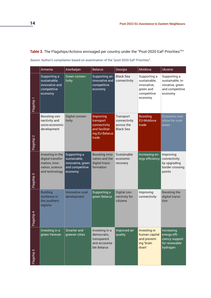#### Table 3. The Flagships/Actions envisaged per country under the "Post-2020 EaP Priorities"<sup>34</sup>

*Source*: Author's compilation based on examination of the "post-2020 EaP Priorities".

|            | Armenia                                                                                     | Azerbaijan                                                                      | <b>Belarus</b>                                                                      | Georgia                                                     | Moldova                                                                            | Ukraine                                                                           |
|------------|---------------------------------------------------------------------------------------------|---------------------------------------------------------------------------------|-------------------------------------------------------------------------------------|-------------------------------------------------------------|------------------------------------------------------------------------------------|-----------------------------------------------------------------------------------|
| Flagship 1 | Supporting a<br>sustainable,<br>innovative and<br>competitive<br>economy                    | Green connec-<br>tivity                                                         | Supporting an<br>innovative and<br>competitive<br>economy                           | <b>Black Sea</b><br>connectivity                            | Supporting a<br>sustainable,<br>innovative,<br>green and<br>competitive<br>economy | Supporting a<br>sustainable, in-<br>novative, green<br>and competitive<br>economy |
| Flagship 2 | Boosting con-<br>nectivity and<br>socio-economic<br>development                             | Digital connec-<br>tivity                                                       | Improving<br>transport<br>connectivity<br>and facilitat-<br>ing EU-Belarus<br>trade | Transport<br>connectivity<br>across the<br><b>Black Sea</b> | <b>Boosting</b><br><b>EU-Moldova</b><br>trade                                      | Economic tran-<br>sition for rural<br>areas                                       |
| Flagship 3 | Investing in the<br>digital transfor-<br>mation, inno-<br>vation, science<br>and technology | Supporting a<br>sustainable,<br>innovative, green<br>and competitive<br>economy | Boosting inno-<br>vation and the<br>digital trans-<br>formation                     | Sustainable<br>economic<br>recovery                         | Increasing en-<br>ergy efficiency                                                  | Improving<br>connectivity<br>by upgrading<br>border crossing<br>points            |
| Flagship 4 | <b>Building</b><br>resilience in<br>the southern<br>regions                                 | Innovative rural<br>development                                                 | Supporting a<br>green Belarus                                                       | Digital con-<br>nectivity for<br>citizens                   | Improving<br>connectivity                                                          | Boosting the<br>digital transi-<br>tion                                           |
| -lagship 5 | Investing in a<br>green Yerevan                                                             | Smarter and<br>greener cities                                                   | Investing in a<br>democratic,<br>transparent<br>and accounta-<br>ble Belarus        | Improved air<br>quality                                     | Investing in<br>human capital<br>and prevent-<br>ing 'brain<br>drain'              | Increasing<br>energy effi-<br>ciency support<br>for renewable<br>hydrogen         |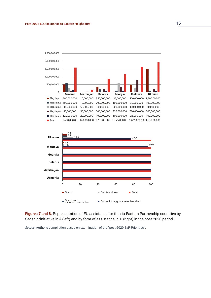



**Figures 7 and 8:** Representation of EU assistance for the six Eastern Partnership countries by flagship/initiative in € (left) and by form of assistance in % (right) in the post-2020 period.

*Source:* Author's compilation based on examination of the "post-2020 EaP Priorities".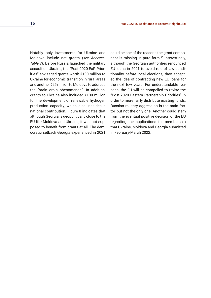Notably, only investments for Ukraine and Moldova include net grants (*see Annexes: Table 7*). Before Russia launched the military assault on Ukraine, the "Post-2020 EaP Priorities" envisaged grants worth €100 million to Ukraine for economic transition in rural areas and another €25 million to Moldova to address the "brain drain phenomenon". In addition, grants to Ukraine also included €100 million for the development of renewable hydrogen production capacity, which also includes a national contribution. Figure 8 indicates that although Georgia is geopolitically close to the EU like Moldova and Ukraine, it was not supposed to benefit from grants at all. The democratic setback Georgia experienced in 2021

could be one of the reasons the grant component is missing in pure form.35 Interestingly, although the Georgian authorities renounced EU loans in 2021 to avoid rule of law conditionality before local elections, they accepted the idea of contracting new EU loans for the next few years. For understandable reasons, the EU will be compelled to revise the "Post-2020 Eastern Partnership Priorities" in order to more fairly distribute existing funds. Russian military aggression is the main factor, but not the only one. Another could stem from the eventual positive decision of the EU regarding the applications for membership that Ukraine, Moldova and Georgia submitted in February-March 2022.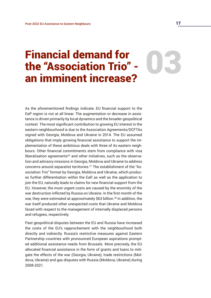# Financial demand for<br>the "Association Trio" -<br>an imminent increase? the "Association Trio" an imminent increase?

As the aforementioned findings indicate, EU financial support to the EaP region is not at all linear. The augmentation or decrease in assistance is driven primarily by local dynamics and the broader geopolitical context. The most significant contribution to growing EU interest in the eastern neighbourhood is due to the Association Agreements/DCFTAs signed with Georgia, Moldova and Ukraine in 2014. The EU assumed obligations that imply growing financial assistance to support the implementation of these ambitious deals with three of its eastern neighbours. Other financial commitments stem from compliance with visa liberalisation agreements $36$  and other initiatives, such as the observation and advisory missions in Georgia, Moldova and Ukraine to address concerns around separatist territories.37 The establishment of the "Association Trio" format by Georgia, Moldova and Ukraine, which produces further differentiation within the EaP, as well as the application to join the EU, naturally leads to claims for new financial support from the EU. However, the most urgent costs are caused by the enormity of the war destruction inflicted by Russia on Ukraine. In the first month of the war, they were estimated at approximately \$63 billion.<sup>38</sup> In addition, the war itself produced other unexpected costs that Ukraine and Moldova faced with respect to the management of internally displaced persons and refugees, respectively.

Past geopolitical disputes between the EU and Russia have increased the costs of the EU's rapprochement with the neighbourhood both directly and indirectly. Russia's restrictive measures against Eastern Partnership countries with pronounced European aspirations prompted additional assistance needs from Brussels. More precisely, the EU allocated financial assistance in the form of grants and loans to mitigate the effects of the war (Georgia, Ukraine), trade restrictions (Moldova, Ukraine) and gas disputes with Russia (Moldova, Ukraine) during 2008-2021.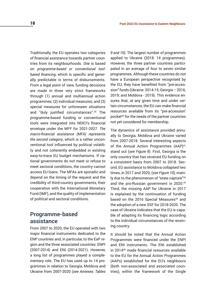Traditionally, the EU operates two categories of financial assistance towards partner countries from its neighbourhoods. *One* is based on *programme-based or conventional toolbased financing*, which is specific and generally predictable in terms of disbursements. From a legal point of view, funding decisions are made in three very strict frameworks through (1) annual and multiannual action programmes; (2) individual measures; and (3) special measures for unforeseen situations and "duly justified circumstances".39 The programme-based funding or conventional tools were integrated into NDICI's financial envelope under the MFF for 2021-2027. *The macro-financial assistance (MFA) represents the second category*, which is a rather unconventional tool influenced by political volatility and not coherently embedded in existing easy-to-trace EU budget mechanisms. If national governments do not meet or refuse to meet sectoral conditions, the country cannot access EU loans. The MFAs are sporadic and depend on the timing of the request and the credibility of third-country governments, their cooperation with the International Monetary Fund (IMF), and the quality of implementation of political and sectoral conditions.

#### **Programme-based assistance**

From 2007 to 2020, the EU operated with two major financial instruments dedicated to the ENP countries and, in particular, to the EaP region and the three associated countries: ENPI (2007-2014) and ENI (2014-2021). However, a long list of programmes played a complementary role. The EU has used up to 14 programmes in relation to Georgia, Moldova and Ukraine from 2007-2020 (*see Annexes: Tables* 

*9 and 10*). The largest number of programmes applied to Ukraine (2018: 14 programmes). However, the three partner countries participated in an average of four to seven similar programmes. Although these countries do not have a European perspective recognised by the EU, they have benefited from "pre-accession" funds (Ukraine: 2014-15; Georgia– 2016, 2019; and Moldova - 2019). This evidence ensures that, at any given time and under certain circumstances, the EU can make financial resources available from its "pre-accession' pocket40 for the needs of the partner countries not yet considered for membership.

The dynamics of assistance provided annually to Georgia, Moldova and Ukraine varied from 2007-2018. Several interesting aspects of the Annual Action Programmes (AAP)<sup>41</sup> stand out (*see Figure 9*). First, Georgia is the only country that has received EU funding on a consistent basis from 2007 to 2018. Second, EU assistance to Moldova collapsed two times, in 2017 and 2020, (*see Figure 10*), mainly due to the phenomenon of "state capture"42 and the pro-Russian government in 2020.<sup>43</sup> Third, the missing AAP for Ukraine in 2017 is explained by the continuation of funding based on the 2016 Special Measures<sup>44</sup> and the adoption of a new SSF for 2018-2020. The case of Ukraine indicates that the EU is capable of adapting its financing logic according to the individual circumstances of the receiving country.

It should be noted that the Annual Action Programmes were financed under the ENPI and ENI instruments. The ENI established in 201445 made financial resources available to the EU for the Annual Action Programmes (AAPs) established for the EU's neighbours (both non-associated and associated countries), within the framework of the Single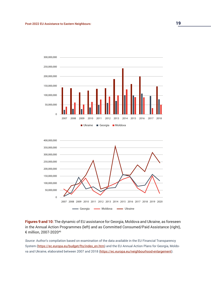



**Figures 9 and 10:** The dynamic of EU assistance for Georgia, Moldova and Ukraine, as foreseen in the Annual Action Programmes (left) and as Committed Consumed/Paid Assistance (right), € million, 2007-202046

*Source*: Author's compilation based on examination of the data available in the EU Financial Transparency System ([https://ec.europa.eu/budget/fts/index\\_en.htm\)](https://ec.europa.eu/budget/fts/index_en.htm) and the EU Annual Action Plans for Georgia, Moldo-va and Ukraine, elaborated between 2007 and 2018 [\(https://ec.europa.eu/neighbourhood-enlargement\)](https://ec.europa.eu/neighbourhood-enlargement).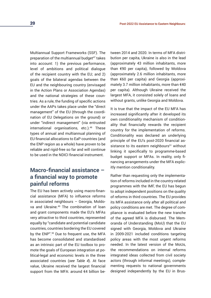Multiannual Support Frameworks (SSF). The preparation of the multiannual budget<sup>47</sup> takes into account: 1) the previous performance, level of ambitions and political dialogue of the recipient country with the EU; and 2) goals of the bilateral agendas between the EU and the neighbouring country (envisaged in the Action Plans or Association Agendas) and the national strategies of these countries. As a rule, the funding of specific actions under the AAPs takes place under the "direct management" of the EU (through the coordination of EU Delegations on the ground) or under "indirect management" (via entrusted international organisations, etc.).<sup>48</sup> These types of annual and multiannual planning of EU financial allocations to EaP countries (and the ENP region as a whole) have proven to be reliable and rigid-free so far and will continue to be used in the NDICI financial instrument.

#### **Macro-financial assistance – a financial way to promote painful reforms**

The EU has been actively using macro-financial assistance (MFA) to influence reforms in associated neighbours – Georgia, Moldova and Ukraine.<sup>49</sup> The combination of loan and grant components made the EU's MFAs very attractive to third countries, represented equally by "candidate and potential candidate countries, countries bordering the EU covered by the ENP".<sup>50</sup> Due to frequent use, the MFA has become consolidated and standardised as an intrinsic part of the EU toolbox to promote the goals of European integration at political-legal and economic levels in the three associated countries (*see Table 4*). At face value, Ukraine received the largest financial support from the MFA: around €4 billion between 2014 and 2020. In terms of MFA distribution per capita, Ukraine is also in the lead (approximately 43 million inhabitants, more than €90 per capita), followed by Moldova (approximately 2.6 million inhabitants, more than €60 per capita) and Georgia (approximately 3.7 million inhabitants, more than €40 per capita). Although Ukraine received the largest MFA, it consisted solely of loans and without grants, unlike Georgia and Moldova.

It is true that the impact of the EU MFA has increased significantly after it developed its own conditionality mechanism of conditionality that financially rewards the recipient country for the implementation of reforms. Conditionality was declared an underlying principle of the EU's post-2020 financial assistance to its eastern neighbours<sup>51</sup> without linking it specifically to programme-based budget support or MFAs. In reality, only financing arrangements under the MFA explicitly mention conditionality.

Rather than requesting only the implementation of reforms included in the country-related programmes with the IMF, the EU has begun to adopt independent positions on the quality of reforms in third countries. The EU provides its MFA assistance only after all political and policy conditions are met. The degree of compliance is evaluated before the new tranche of the agreed MFA is disbursed. The Memoranda of Understanding (MoU) that the EU signed with Georgia, Moldova and Ukraine in 2009-2021 included conditions targeting policy areas with the most urgent reforms needed. In the latest version of the MoUs, the recommendations on internal reforms integrated ideas collected from civil society actors (through informal meetings), complementing requests to national governments designed independently by the EU in Brus-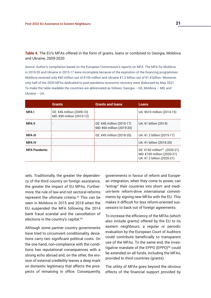#### **Table 4.** The EU's MFAs offered in the form of grants, loans or combined to Georgia, Moldova and Ukraine, 2009-2020

*Source*: Author's compilation based on the European Commission's reports on MFA. The MFA for Moldova in 2019-20 and Ukraine in 2015-17 were incomplete because of the expiration of the financing programmes: Moldova received only €60 million out of €100 million and Ukraine €1.2 billion out of €1.8 billion. Moreover, only half of the 2020 MFAs dedicated to post-pandemic economic recovery were disbursed by May 2021. To make the table readable the countries are abbreviated as follows: Georgia – GE, Moldova – MD, and Ukraine – UA.

|                     | <b>Grants</b>                                            | <b>Grants and loans</b>                                | <b>Loans</b>                                                                                         |
|---------------------|----------------------------------------------------------|--------------------------------------------------------|------------------------------------------------------------------------------------------------------|
| <b>MFAI</b>         | $GE: €46$ million (2009-10)<br>MD: €90 million (2010-12) |                                                        | UA: €610 million (2014-15)                                                                           |
| <b>MFA II</b>       |                                                          | GE: €46 million (2015-17)<br>MD: €60 million (2019-20) | UA: €1 billion (2014)                                                                                |
| <b>MFA III</b>      |                                                          | GE: €45 million (2018-20)                              | UA: €1.2 billion (2015-17)                                                                           |
| <b>MFA IV</b>       |                                                          |                                                        | UA: €1 billion (2018-20)                                                                             |
| <b>MFA Pandemic</b> |                                                          |                                                        | GE: €150 million <sup>52</sup> (2020-21)<br>MD: €100 million (2020-21)<br>UA: €1.2 billion (2020-21) |

sels. Traditionally, the greater the dependency of the third country on foreign assistance, the greater the impact of EU MFAs. Furthermore, the rule of law and not sectoral reforms represent the ultimate criteria.<sup>53</sup> This can be seen in Moldova in 2015 and 2018 when the EU suspended the MFA following the 2014 bank fraud scandal and the cancellation of elections in the country's capital.<sup>54</sup>

Although some partner country governments have tried to circumvent conditionality, deviations carry two significant political costs. On the one hand, non-compliance with the conditions has reputational consequences with a strong echo abroad and, on the other, the erosion of external credibility leaves a deep mark on domestic legitimacy that affects the prospects of remaining in office. Consequently, governments in favour of reform and European integration, when they come to power, can "entrap" their countries into short- and medium-term reform-drive international commitments by signing new MFAs with the EU. This makes it difficult for less reform-oriented successors to back out of foreign agreements.

To increase the efficiency of the MFAs (which also include grants) offered by the EU to its eastern neighbours, a regular or periodic evaluation by the European Court of Auditors could contribute beneficially to transparent use of the MFAs. To the same end, the investigative mandate of the EPPO (EPPO)<sup>55</sup> could be extended on all funds, including the MFAs, provided to third countries (grants).

The utility of MFAs goes beyond the obvious effects of the financial support provided by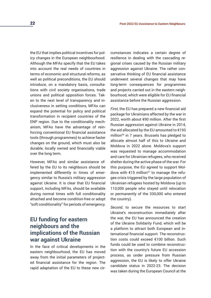the EU that implies political incentives for policy changes in the European neighbourhood. Although the MFAs specify that the EU takes into account the real needs of countries in terms of economic and structural reforms, as well as political preconditions, the EU should introduce, on a mandatory basis, consultations with civil society organisations, trade unions and political opposition forces. Taken to the next level of transparency and inclusiveness in setting conditions, MFAs can expand the potential for policy and political transformation in recipient countries of the ENP region. Due to the conditionality mechanism, MFAs have the advantage of reinforcing conventional EU financial assistance tools (through programmes) to achieve faster changes on the ground, which must also be durable, locally owned and financially viable over the long term.

However, MFAs and similar assistance offered by the EU to its neighbours should be implemented differently in times of emergency similar to Russia's military aggression against Ukraine. It is clear that EU financial support, including MFAs, should be available during normal times with full conditionality attached and become condition-free or adopt "soft conditionality" for periods of emergency.

#### **EU funding for eastern neighbours and the implications of the Russian war against Ukraine**

In the face of critical developments in the eastern neighbourhood, the EU has moved away from the initial parameters of projected financial assistance for the region. The rapid adaptation of the EU to these new circumstances indicates a certain degree of resilience in dealing with the cascading regional crises caused by the Russian military aggression against Ukraine. The rather conservative thinking of EU financial assistance underwent several changes that may have long-term consequences for programmes and projects carried out in the eastern neighbourhood, which were eligible for EU financial assistance before the Russian aggression.

*First*, the EU has prepared a new financial aid package for Ukrainians affected by the war in 2022, worth about €90 million. After the first Russian aggression against Ukraine in 2014, the aid allocated by the EU amounted to €193 million<sup>56</sup> in 7 years. Brussels has pledged to allocate almost half of this to Ukraine and Moldova in 2022 alone. Moldova's support was requested to manage accommodation and care for Ukrainian refugees, who received shelter during the active phase of the war. For this purpose, the EU agreed to support Moldova with  $615$  million<sup>57</sup> to manage the refugee crisis triggered by the large population of Ukrainian refugees hosted by Moldova (up to 110,000 people who stayed until relocation or permanently of the 330,000 who entered the country).

*Second*, to secure the resources to start Ukraine's reconstruction immediately after the war, the EU has announced the creation of the Ukraine Solidarity Fund, which will be a platform to attract both European and international financial support. The reconstruction costs could exceed €100 billion. Such funds could be used to combine reconstruction with the country's future EU accession process, as under pressure from Russian aggression, the EU is likely to offer Ukraine candidate status in 2022-23. The decision was taken during the European Council at the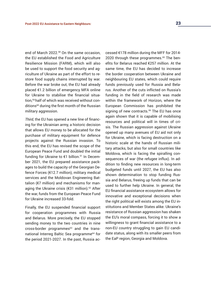end of March 2022.<sup>58</sup> On the same occasion, the EU established the Food and Agriculture Resilience Mission (FARM), which will also be used to support the food security and agriculture of Ukraine as part of the effort to restore food supply chains interrupted by war. Before the war broke out, the EU had already placed €1.2 billion of emergency MFA online for Ukraine to stabilise the financial situation,59 half of which was received without conditions<sup>60</sup> during the first month of the Russian military aggression.

*Third*, the EU has opened a new line of financing for the Ukrainian army, a historic decision that allows EU money to be allocated for the purchase of military equipment for defence projects against the Russian invasion. To this end, the EU has revised the scope of the European Peace Fund and doubled the initial funding for Ukraine to €1 billion.<sup>61</sup> In December 2021, the EU prepared assistance packages to build the capacity of the Georgian Defence Forces (€12.7 million), military medical services and the Moldovan Engineering Battalion (€7 million) and mechanisms for managing the Ukraine crisis (€31 million).<sup>62</sup> After the war, funds from the European Peace Fund for Ukraine increased 33-fold.

Finally, the EU suspended financial support for cooperation programmes with Russia and Belarus. More precisely, the EU stopped sending money to the two countries in nine cross-border programmes<sup>63</sup> and the transnational Interreg Baltic Sea programme<sup>64</sup> for the period 2021-2027. In the past, Russia accessed €178 million during the MFF for 2014- 2020 through these programmes.<sup>65</sup> The benefits for Belarus reached €257 million. At the same time, the EU has decided to increase the border cooperation between Ukraine and neighbouring EU states, which could require funds previously used for Russia and Belarus. Another of the cuts inflicted on Russia's funding in the field of research was made within the framework of Horizon, where the European Commission has prohibited the signing of new contracts.<sup>66</sup> The EU has once again shown that it is capable of mobilising resources and political will in times of crisis. The Russian aggression against Ukraine opened up many avenues of EU aid not only for Ukraine, which is facing destruction on a historic scale at the hands of Russian military attacks, but also for small countries like Moldova, which is facing the spiralling consequences of war (the refugee influx). In addition to finding new resources in long-term budgeted funds until 2027, the EU has also shown determination to stop funding Russia and Belarus, freeing up funds that can be used to further help Ukraine. In general, the EU financial assistance ecosystem allows for innovative and exceptional decisions when the right political will exists among the EU institutions and Member States alike. Ukraine's resistance of Russian aggression has shaken the EU's moral compass, forcing it to show a willingness to grant financial assistance to a non-EU country struggling to gain EU candidate status, along with its smaller peers from the EaP region, Georgia and Moldova.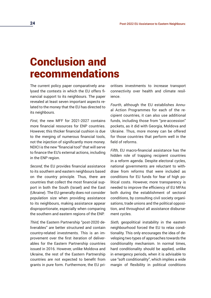# Conclusion and recommendations

The current policy paper comparatively analysed the contexts in which the EU offers financial support to its neighbours. The paper revealed at least seven important aspects related to the money that the EU has directed to its neighbours.

*First*, the new MFF for 2021-2027 contains more financial resources for ENP countries. However, this thicker financial cushion is due to the merging of numerous financial tools, not the injection of significantly more money. NDICI is the new "financial tool" that will serve to finance the EU's external actions, including in the ENP region.

*Second*, the EU provides financial assistance to its southern and eastern neighbours based on the country principle. Thus, there are countries that collect the most financial support in both the South (Israel) and the East (Ukraine). The EU generally does not consider population size when providing assistance to its neighbours, making assistance appear disproportionate, especially when comparing the southern and eastern regions of the ENP.

*Third*, the Eastern Partnership "post-2020 deliverables" are better structured and contain country-related investments. This is an improvement over the first iteration of deliverables for the Eastern Partnership countries issued in 2016. However, unlike Moldova and Ukraine, the rest of the Eastern Partnership countries are not expected to benefit from grants in pure form. Furthermore, the EU prioritises investments to increase transport connectivity over health and climate resilience.

*Fourth*, although the EU establishes Annual Action Programmes for each of the recipient countries, it can also use additional funds, including those from "pre-accession" pockets, as it did with Georgia, Moldova and Ukraine. Thus, more money can be offered for those countries that perform well in the field of reforms.

*Fifth*, EU macro-financial assistance has the hidden role of trapping recipient countries in a reform agenda. Despite electoral cycles, national governments are reluctant to withdraw from reforms that were included as conditions for EU funds for fear of high political costs. However, more transparency is needed to improve the efficiency of EU MFAs both during the establishment of sectoral conditions, by consulting civil society organisations, trade unions and the political opposition, and throughout all assistance disbursement cycles.

*Sixth,* geopolitical instability in the eastern neighbourhood forced the EU to relax conditionality. This only encourages the idea of developing two types of approaches towards the conditionality mechanism. In normal times, hard conditionality should be applied, unlike in emergency periods, when it is advisable to use "soft conditionality", which implies a wide margin of flexibility in political conditions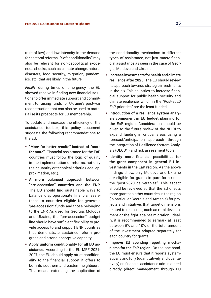(rule of law) and low intensity in the demand for sectoral reforms. "Soft conditionality" may also be relevant for non-geopolitical exogenous shocks, such as climate change, natural disasters, food security, migration, pandemics, etc. that are likely in the future.

*Finally*, during times of emergency, the EU showed resolve in finding new financial solutions to offer immediate support and commitment to raising funds for Ukraine's post-war reconstruction that can also be used to materialise its prospects for EU membership.

To update and increase the efficiency of the assistance toolbox, this policy document suggests the following recommendations to the EU:

- **"More for better results" instead of "more for more".** Financial assistance for the EaP countries must follow the logic of quality in the implementation of reforms, not only their quantity or technical criteria (legal approximation, etc.).
- **A more balanced approach between "pre-accession" countries and the ENP.**  The EU should find sustainable ways to balance disproportionate financial assistance to countries eligible for generous 'pre-accession' funds and those belonging to the ENP. As used for Georgia, Moldova and Ukraine, the "pre-accession" budget line should have sufficient flexibility to provide access to and support ENP countries that demonstrate sustained reform progress and strong absorptive capacity.
- **Apply uniform conditionality for all EU assistance.** According to the EU MFF 2021- 2027, the EU should apply strict conditionality to the financial support it offers to both its southern and eastern neighbours. This means extending the application of

the conditionality mechanism to different types of assistance, not just macro-financial assistance as seen in the case of Georgia, Moldova and Ukraine.

- **Increase investments for health and climate resilience after 2025.** The EU should review its approach towards strategic investments in the six EaP countries to increase financial support for public health security and climate resilience, which in the "Post-2020 EaP priorities" are the least funded.
- **Introduction of a resilience system analysis component in EU budget planning for the EaP region.** Consideration should be given to the future review of the NDICI to expand funding in critical areas using a forecast/anticipation approach through the integration of Resilience System Analysis (OECD<sup>67</sup>) and risk assessment tools.
- **Identify more financial possibilities for the grant component in general EU investments in the EaP region.** As the above findings show, only Moldova and Ukraine are eligible for grants in pure form under the "post-2020 deliverables". This aspect should be reviewed so that the EU directs more grants to other countries in the region (in particular Georgia and Armenia) for projects and initiatives that target dimensions related to resilience, such as rural development or the fight against migration. Ideally, it is recommended to earmark at least between 5% and 10% of the total amount of the investment adapted separately for each country for grants.
- **Improve EU spending reporting mechanisms for the EaP region.** On the one hand, the EU must ensure that it reports systematically and fully (quantitatively and qualitatively) on financial assistance administered directly (direct management through EU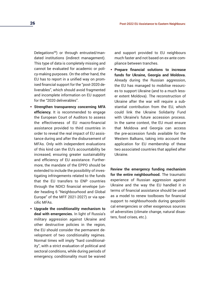Delegations<sup>68</sup>) or through entrusted/mandated institutions (indirect management). This type of data is completely missing and cannot be evaluated for academic or policy-making purposes. On the other hand, the EU has to report in a unified way on promised financial support for the "post-2020 deliverables", which should avoid fragmented and incomplete information on EU support for the "2020 deliverables".

- **Strengthen transparency concerning MFA efficiency.** It is recommended to engage the European Court of Auditors to assess the effectiveness of EU macro-financial assistance provided to third countries in order to reveal the real impact of EU assistance during and after the disbursement of MFAs. Only with independent evaluations of this kind can the EU's accountability be increased, ensuring greater sustainability and efficiency of EU assistance. Furthermore, the mandate of the EPPO should be extended to include the possibility of investigating infringements related to the funds that the EU transfers to ENP countries through the NDICI financial envelope (under heading 6 "Neighbourhood and Global Europe" of the MFF 2021-2027) or via specific MFAs.
- **Upgrade the conditionality mechanism to deal with emergencies.** In light of Russia's military aggression against Ukraine and other destructive policies in the region, the EU should consider the permanent development of two conditionality regimes. Normal times will imply "hard conditionality", with a strict evaluation of political and sectoral conditions, while during periods of emergency, conditionality must be waived

and support provided to EU neighbours much faster and not based on ex-ante compliance between tranches.

 **Prepare financial solutions to increase funds for Ukraine, Georgia and Moldova.**  Already during the Russian aggression, the EU has managed to mobilise resources to support Ukraine (and to a much lesser extent Moldova). The reconstruction of Ukraine after the war will require a substantial contribution from the EU, which could link the Ukraine Solidarity Fund with Ukraine's future accession process. In the same context, the EU must ensure that Moldova and Georgia can access the pre-accession funds available for the Western Balkans, taking into account the application for EU membership of these two associated countries that applied after Ukraine.

**Review the emergency funding mechanism for the entire neighbourhood.** The traumatic experience of Russian aggression against Ukraine and the way the EU handled it in terms of financial assistance should be used as a model to renew toolboxes for financial support to neighbourhoods during geopolitical emergencies or other exogenous sources of adversities (climate change, natural disasters, food crises, etc.).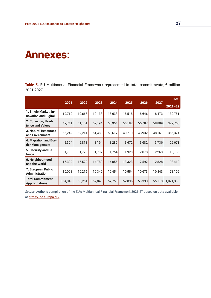### Annexes:

**Table 5.** EU Multiannual Financial Framework represented in total commitments, € million, 2021-2027

|                                                  | 2021    | 2022    | 2023    | 2024    | 2025    | 2026    | 2027    | <b>Total</b> |
|--------------------------------------------------|---------|---------|---------|---------|---------|---------|---------|--------------|
|                                                  |         |         |         |         |         |         |         | $2021 - 27$  |
| 1. Single Market, In-<br>novation and Digital    | 19,712  | 19,666  | 19,133  | 18,633  | 18,518  | 18,646  | 18,473  | 132,781      |
| 2. Cohesion, Resil-<br><b>ience and Values</b>   | 49,741  | 51,101  | 52,194  | 53,954  | 55,182  | 56,787  | 58,809  | 377,768      |
| <b>3. Natural Resources</b><br>and Environment   | 55,242  | 52,214  | 51,489  | 50,617  | 49,719  | 48,932  | 48,161  | 356,374      |
| 4. Migration and Bor-<br>der Management          | 2,324   | 2,811   | 3,164   | 3,282   | 3,672   | 3,682   | 3,736   | 22,671       |
| 5. Security and De-<br>fence                     | 1,700   | 1.725   | 1,737   | 1.754   | 1,928   | 2,078   | 2,263   | 13,185       |
| 6. Neighbourhood<br>and the World                | 15,309  | 15,522  | 14,789  | 14,056  | 13,323  | 12,592  | 12,828  | 98,419       |
| 7. European Public<br><b>Administration</b>      | 10,021  | 10.215  | 10,342  | 10.454  | 10,554  | 10,673  | 10,843  | 73,102       |
| <b>Total Commitment</b><br><b>Appropriations</b> | 154,049 | 153,254 | 152,848 | 152,750 | 152,896 | 153,390 | 155,113 | 1,074,300    |

*Source*: Author's compilation of the EU's Multiannual Financial Framework 2021-27 based on data available at<https://ec.europa.eu/>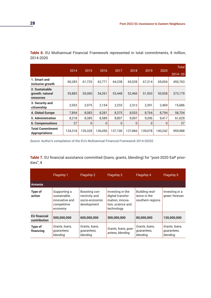**Table 6.** EU Multiannual Financial Framework represented in total commitments, € million, 2014-2020

|                                                       |         |          |         |              |              |          |         | <b>Total</b> |
|-------------------------------------------------------|---------|----------|---------|--------------|--------------|----------|---------|--------------|
|                                                       | 2014    | 2015     | 2016    | 2017         | 2018         | 2019     | 2020    | $2014 - 20$  |
| 1. Smart and<br>inclusive growth                      | 60,283  | 61,725   | 62,771  | 64,238       | 65,528       | 67,214   | 69,004  | 450,763      |
| 2. Sustainable<br>growth: natural<br><b>resources</b> | 55,883  | 55,060   | 54,261  | 53.448       | 52,466       | 51,503   | 50,558  | 373,179      |
| 3. Security and<br>citizenship                        | 2,053   | 2.075    | 2,154   | 2,232        | 2,312        | 2,391    | 2,469   | 15,686       |
| 4. Global Europe                                      | 7,854   | 8.083    | 8,281   | 8,375        | 8,553        | 8,764    | 8.794   | 58,704       |
| <b>5. Administration</b>                              | 8,218   | 8,385    | 8,589   | 8,807        | 9,007        | 9,206    | 9,417   | 61,629       |
| <b>6. Compensations</b>                               | 27      | $\Omega$ | 0       | $\mathbf{0}$ | $\mathbf{0}$ | $\Omega$ | 0       | 27           |
| <b>Total Commitment</b><br><b>Appropriations</b>      | 134,318 | 135.328  | 136.056 | 137,100      | 137.866      | 139,078  | 140.242 | 959,988      |

*Source*: Author's compilation of the EU's Multiannual Financial Framework 2014-20202

**Table 7.** EU financial assistance committed (loans, grants, blending) for "post-2020 EaP priorities", €

|                                     | Flagship 1                                                               | Flagship 2                                                      | Flagship 3                                                                                  | Flagship 4                                                 | Flagship 5                                |
|-------------------------------------|--------------------------------------------------------------------------|-----------------------------------------------------------------|---------------------------------------------------------------------------------------------|------------------------------------------------------------|-------------------------------------------|
| Armenia                             |                                                                          |                                                                 |                                                                                             |                                                            |                                           |
| Type of<br>action                   | Supporting a<br>sustainable.<br>innovative and<br>competitive<br>economy | Boosting con-<br>nectivity and<br>socio-economic<br>development | Investing in the<br>digital transfor-<br>mation, innova-<br>tion, science and<br>technology | <b>Building resil-</b><br>ience in the<br>southern regions | Investing in a<br>green Yerevan           |
| <b>EU</b> financial<br>contribution | 500,000,000                                                              | 600,000,000                                                     | 300,000,000                                                                                 | 80,000,000                                                 | 120,000,000                               |
| <b>Type of</b><br>financing         | Grants, Ioans,<br>guarantees,<br>blending                                | Grants, Ioans,<br>quarantees,<br>blending                       | Grants, loans, guar-<br>antees, blending                                                    | Grants, Ioans,<br>quarantees,<br>blending                  | Grants, Ioans,<br>quarantees,<br>blending |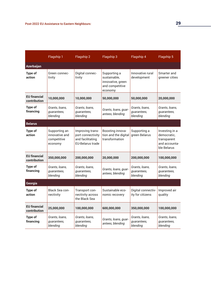|                                     | Flagship 1                                                | Flagship 2                                                                           | Flagship 3                                                                      | Flagship 4                                | Flagship 5                                                                   |
|-------------------------------------|-----------------------------------------------------------|--------------------------------------------------------------------------------------|---------------------------------------------------------------------------------|-------------------------------------------|------------------------------------------------------------------------------|
| Azerbaijan                          |                                                           |                                                                                      |                                                                                 |                                           |                                                                              |
| Type of<br>action                   | Green connec-<br>tivity                                   | Digital connec-<br>tivity                                                            | Supporting a<br>sustainable,<br>innovative, green<br>and competitive<br>economy | Innovative rural<br>development           | Smarter and<br>greener cities                                                |
| <b>EU</b> financial<br>contribution | 10,000,000                                                | 10,000,000                                                                           | 50,000,000                                                                      | 50,000,000                                | 20,000,000                                                                   |
| Type of<br>financing                | Grants, loans,<br>guarantees,<br>blending                 | Grants, Ioans,<br>guarantees,<br>blending                                            | Grants, loans, guar-<br>antees, blending                                        | Grants, Ioans,<br>guarantees,<br>blending | Grants, loans,<br>guarantees,<br>blending                                    |
| <b>Belarus</b>                      |                                                           |                                                                                      |                                                                                 |                                           |                                                                              |
| Type of<br>action                   | Supporting an<br>innovative and<br>competitive<br>economy | Improving trans-<br>port connectivity<br>and facilitating<br><b>EU-Belarus trade</b> | Boosting innova-<br>tion and the digital<br>transformation                      | Supporting a<br>green Belarus             | Investing in a<br>democratic,<br>transparent<br>and accounta-<br>ble Belarus |
| <b>EU</b> financial<br>contribution | 350,000,000                                               | 200,000,000                                                                          | 20,000,000                                                                      | 200,000,000                               | 100,000,000                                                                  |
| Type of<br>financing                | Grants, loans,<br>guarantees,<br>blending                 | Grants, loans,<br>guarantees,<br>blending                                            | Grants, loans, guar-<br>antees, blending                                        | Grants, loans,<br>guarantees,<br>blending | Grants, loans,<br>guarantees,<br>blending                                    |
| Georgia                             |                                                           |                                                                                      |                                                                                 |                                           |                                                                              |
| <b>Type of</b><br>action            | Black Sea con-<br>nectivity                               | Transport con-<br>nectivity across<br>the Black Sea                                  | Sustainable eco-<br>nomic recovery                                              | Digital connectiv-<br>ity for citizens    | Improved air<br>quality                                                      |
| <b>EU</b> financial<br>contribution | 25,000,000                                                | 100,000,000                                                                          | 600,000,000                                                                     | 350,000,000                               | 100,000,000                                                                  |
| <b>Type of</b><br>financing         | Grants, loans,<br>guarantees,<br>blending                 | Grants, loans,<br>guarantees,<br>blending                                            | Grants, loans, guar-<br>antees, blending                                        | Grants, loans,<br>guarantees,<br>blending | Grants, loans,<br>guarantees,<br>blending                                    |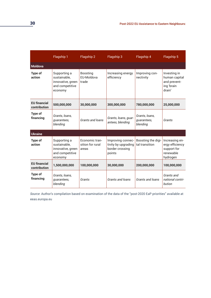|                                     | Flagship 1                                                                      | Flagship 2                                  | Flagship 3                                                            | Flagship 4                                | Flagship 5                                                                |
|-------------------------------------|---------------------------------------------------------------------------------|---------------------------------------------|-----------------------------------------------------------------------|-------------------------------------------|---------------------------------------------------------------------------|
| <b>Moldova</b>                      |                                                                                 |                                             |                                                                       |                                           |                                                                           |
| <b>Type of</b><br>action            | Supporting a<br>sustainable,<br>innovative, green<br>and competitive<br>economy | <b>Boosting</b><br>FU-Moldova<br>trade      | Increasing energy<br>efficiency                                       | Improving con-<br>nectivity               | Investing in<br>human capital<br>and prevent-<br>ing 'brain<br>drain'     |
| <b>EU</b> financial<br>contribution | 500,000,000                                                                     | 30,000,000                                  | 300,000,000                                                           | 780,000,000                               | 25,000,000                                                                |
| <b>Type of</b><br>financing         | Grants, loans,<br>guarantees,<br>blending                                       | Grants and loans                            | Grants, loans, guar-<br>antees, blending                              | Grants, Ioans,<br>guarantees,<br>blending | Grants                                                                    |
| <b>Ukraine</b>                      |                                                                                 |                                             |                                                                       |                                           |                                                                           |
| Type of<br>action                   | Supporting a<br>sustainable,<br>innovative, green<br>and competitive<br>economy | Economic tran-<br>sition for rural<br>areas | Improving connec-<br>tivity by upgrading<br>border crossing<br>points | Boosting the digi-<br>tal transition      | Increasing en-<br>ergy efficiency<br>support for<br>renewable<br>hydrogen |
| <b>EU</b> financial<br>contribution | 1,500,000,000                                                                   | 100,000,000                                 | 30,000,000                                                            | 200,000,000                               | 100,000,000                                                               |
| <b>Type of</b><br>financing         | Grants, loans,<br>guarantees,<br>blending                                       | Grants                                      | Grants and loans                                                      | Grants and loans                          | Grants and<br>national contri-<br>bution                                  |

*Source*: Author's compilation based on examination of the data of the "post-2020 EaP priorities" available at eeas.europa.eu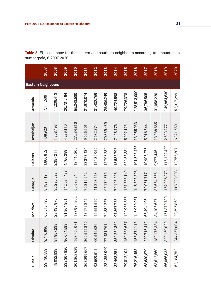**Table 8.** EU assistance for the eastern and southern neighbours according to amounts consumed/paid, €, 2007-2020

| Russia      | <b>Ukraine</b> | Moldova      | Georgia     | <b>Belarus</b> | Azerbaijan | <b>Armenia</b> | <b>Eastern Neighbours</b> |             |
|-------------|----------------|--------------|-------------|----------------|------------|----------------|---------------------------|-------------|
| 29,130,559  | 9,776,896      | 60,518,198   | 8,189,712   | 1,866,852      | 408,920    | 7,411,509      |                           | <b>2007</b> |
| 18,032,839  | 81,957,238     | 23,430,976   | 35,226,028  | 2,357,211      | 1,868,493  | 17,239,413     |                           | 2008        |
| 232,307,820 | 96,614,583     | 81,864,801   | 142,084,437 | 4,766,299      | 4,239,110  | 20,731,194     |                           | 2009        |
| 201,862,629 | 157,756,071    | 137,934,262  | 59,532,944  | 18,740,209     | 27,234,810 | 55,348,580     |                           | 2010        |
| 368,899,667 | 260,555,846    | 48, 172, 245 | 76,219,942  | 23,377,434     | 9,625,501  | 21,970,874     |                           | 2011        |
| 98,609,511  | 60,546,626     | 16,551,529   | 41,223,553  | 12,189,959     | 2,682,774  | 31,432,769     |                           | 2012        |
| 234,858,069 | 77,431,761     | 74,832,257   | 65,174,876  | 12,703,289     | 29,339,439 | 25,486,249     |                           | 2013        |
| 32,468,251  | 359,254,362    | 97,867,788   | 70,103,208  | 18,535,798     | 7,428,776  | 40,724,598     |                           | 2014        |
| 79,812,104  | 159,263,657    | 129,985,838  | 161,533,149 | 62,155,384     | 5,002,123  | 79,726,378     |                           | 2015        |
| 76,216,453  | 156,874,113    | 145,939,061  | 145,693,896 | 191,508,466    | 13,955,933 | 128,513,000    |                           | 2016        |
| 68,630,879  | 229,715,413    | 66,494,196   | 79,051,717  | 10,906,275     | 5,016,644  | 36,786,505     |                           | 2017        |
| 63,612,560  | 182, 176, 334  | 34,106,637   | 86,664,565  | 9,977,446      | 13,988,665 | 31,058,220     |                           | 2018        |
| 66,066,035  | 320, 159, 020  | 151,379,780  | 162,886,073 | 115, 132, 439  | 2,533,277  | 149,864,630    |                           | 2019        |
| 62,184,752  | 244,357,004    | 29,596,868   | 118,003,908 | 12,765,507     | 6,321,650  | 52,317,299     |                           | 2020        |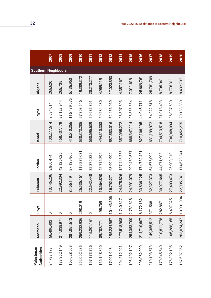| Palestinian<br><b>Authorities</b> | Morocco     | Libya       | Lebanon    | Jordan      | <b>Israel</b>   | Egypt       | <b>Algeria</b> | <b>Southern Neighbours</b> |             |
|-----------------------------------|-------------|-------------|------------|-------------|-----------------|-------------|----------------|----------------------------|-------------|
| 24,783,173                        | 56,406,402  | $\circ$     | 13,445,206 | 3,860,474   | 103,277,614     | 2,534,014   | 265,620        |                            | <b>2007</b> |
| 188, 352, 149                     | 217,038,971 | $\circ$     | 22,992,304 | 42,126,025  | 168,437,179     | 87,128,944  | 265,735        |                            | 2008        |
| 169,628,653                       | 287,051,513 | $\circ$     | 8,465,119  | 27,139,965  | 418,610,365     | 115,479,575 | 5,135,963      |                            | 2009        |
| 252,002,235                       | 259,232,936 | 019<br>298, | 26,536,161 | 119,279,671 | 538,373,285     | 97,308,546  | 19,309,372     |                            | 2010        |
| 197, 173, 726                     | 115,201,161 | $\circ$     | 22,642,448 | 82,370,829  | 650,696,639     | 59,685,891  | 28,273,277     |                            | 2011        |
| 156,148,360                       | 89,702,771  | 495,769     | 10,664,890 | 42,716,296  | 494,310,308     | 59,284,280  | 4,959,119      |                            | 2012        |
| 17,091,948                        | 195,234,957 | 10,443,506  | 16,792,271 | 68,994,992  | 587,583,016     | 52,456,069  | 17,023,893     |                            | 2013        |
| 204,212,021                       | 177,518,908 | 1,740,827   | 24,675,826 | 127,443,253 | 357,095,272     | 28,307,893  | 4,357,167      |                            | 2014        |
| 195,402,197                       | 254,353,700 | 2,761,628   | 24,991,079 | 299,489,587 | 668,347,114     | 25,833,334  | 7,011,619      |                            | 2015        |
| 206,062,999                       | 214,710,607 | 6,172,162   | 33,636,125 | 174,782,431 | 827,106,195     | 44,945,711  | 25,609,761     |                            | 2016        |
| 210,103,573                       | 149,355,512 | 568<br>371, | 32,327,373 | 64,675,092  | 631, 199, 972   | 64,222,618  | 25,781,709     |                            | 2017        |
| 170,345,540                       | 110,811,778 | 867<br>282, | 30,077,645 | 44,071,903  | 518<br>794,513, | 31,018,493  | 8,705,041      |                            | 2018        |
| 175,392,105                       | 106,288,165 | 6,407,825   | 27,403,473 | 25,909,219  | 706,068,094     | 36,037,530  | 8,776,311      |                            | 2019        |
| 157,607,862                       | 263,074,247 | 13,001,094  | 22,935,741 | 174,628,241 | 710,452,275     | 20,133,889  | 8,432,707      |                            | 2020        |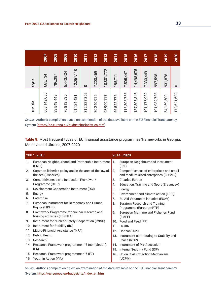| Tunisia                                                 | Syria      |             |
|---------------------------------------------------------|------------|-------------|
| 668, 142, 080                                           | 665,134    | <b>Z007</b> |
| 33,549,443                                              | 786,387    | 2008        |
| 3,536<br>76,81                                          | 5,443,424  | 2009        |
| 61,124,481                                              | 12,057,110 | 2010        |
| 312,327,802                                             | $\circ$    | 2011        |
| 70,240,916                                              | 7,203,469  | 2012        |
| 98,909,117                                              | 10,881,772 | 2013        |
| 66,522,776                                              | 195,711    | 2014        |
| 3,303,733<br>$\overline{ }$<br>$\overline{\phantom{0}}$ | 7,505,447  | 2015        |
| 37,805,846<br>$\overline{\phantom{0}}$                  | 14,498,675 | 2016        |
| 191, 176, 982                                           | 7,333,449  | 2017        |
| ,932,738<br>$\overline{5}$<br>$\overline{ }$            | 997,598    | 2018        |
| 54,159,509                                              | 931,878    | 2019        |
| 173,621,690                                             | $\circ$    | 2020        |

*Source*: Author's compilation based on examination of the data available on the EU Financial Transparency System ([https://ec.europa.eu/budget/fts/index\\_en.htm\)](https://ec.europa.eu/budget/fts/index_en.htm)

**Table 9.** Most frequent types of EU financial assistance programmes/frameworks in Georgia, Moldova and Ukraine, 2007-2020

|                 | $2007 - 2013$                                                                |                 | $2014 - 2020$                                                                    |
|-----------------|------------------------------------------------------------------------------|-----------------|----------------------------------------------------------------------------------|
| 1.              | European Neighbourhood and Partnership Instrument<br>(ENPI)                  | ، 1.            | European Neighbourhood Instrument<br>(ENI)                                       |
| 2.              | Common fisheries policy and in the area of the law of<br>the sea (Fisheries) | 2.              | Competitiveness of enterprises and small<br>and medium-sized enterprises (COSME) |
| 3.              | Competitiveness and Innovation Framework                                     | 3.              | <b>Creative Europe</b>                                                           |
|                 | Programme (CIFP)                                                             | 4.              | Education, Training and Sport (Erasmus+)                                         |
| 4.              | Development Cooperation Instrument (DCI)                                     | 5.              | Energy                                                                           |
| 5.              | Energy                                                                       | 6.              | Environment and climate action (LIFE)                                            |
| 6.              | Enterprise                                                                   | 7.              | EU Aid Volunteers initiative (EUAV)                                              |
| 7 <sub>1</sub>  | European Instrument for Democracy and Human<br>Rights (EIDHR)                | 8.              | <b>Euratom Research and Training</b><br>Programme (EuroatomRTP)                  |
| 8.              | Framework Programme for nuclear research and<br>training activities (FpNRTA) | 9.              | <b>European Maritime and Fisheries Fund</b><br>(EMFF)                            |
| 9.              | Instrument for Nuclear Safety Cooperation (IfNSC)                            |                 | 10. Food and Feed (FF)                                                           |
| 10.             | Instrument for Stability (IfS)                                               |                 | 11. Health                                                                       |
| 11.             | Macro-Financial Assistance (MFA)                                             |                 | 12. Horizon 2020                                                                 |
| 12 <sub>1</sub> | <b>Public Health</b>                                                         |                 | 13. Instrument contributing to Stability and                                     |
|                 | 13. Research                                                                 |                 | Peace (IcSP)                                                                     |
|                 | 14. Research: Framework programme n°6 (completion)                           | 14 <sub>1</sub> | Instrument of Pre-Accession                                                      |
|                 | (F6)                                                                         |                 | 15. Internal Security Fund (ISF)                                                 |
|                 | 15. Research: Framework programme n°7 (F7)                                   |                 | 16. Union Civil Protection Mechanism                                             |
|                 | 16. Youth in Action (YiA)                                                    |                 | (UCPM)                                                                           |

*Source*: Author's compilation based on examination of the data available on the EU Financial Transparency System, [https://ec.europa.eu/budget/fts/index\\_en.htm](https://ec.europa.eu/budget/fts/index_en.htm)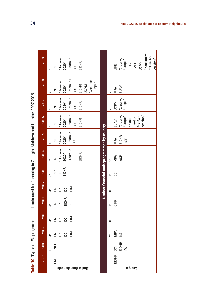| くちく にくらく<br>こうしょう こうしょう                         |
|-------------------------------------------------|
| j                                               |
| $\ddot{\phantom{a}}$                            |
| N CHANGE CONNE<br>ה<br>י<br>I<br>$\overline{)}$ |
|                                                 |
|                                                 |
| ていここ こうりゅうこう りょうどう                              |
| ١                                               |
| Table 10. Types of EU pr                        |
|                                                 |

|                  |     |           |                |                |                                        |                |              |                                                | Table 10. Types of EU programmes and tools used for financing in Georgia, Moldova and Ukraine, 2007-2019 |                     |                  |                |                |
|------------------|-----|-----------|----------------|----------------|----------------------------------------|----------------|--------------|------------------------------------------------|----------------------------------------------------------------------------------------------------------|---------------------|------------------|----------------|----------------|
| 2007             |     | 2008      | 2009           | 2010           | 2011                                   | 2012           | 2013         | 2014                                           | 2015                                                                                                     | 2016                | 2017             | 2018           | 2019           |
|                  |     | $\cdot$ . | $\ddot{+}$     | $\ddot{+}$     | 4                                      | $\ddot{+}$     | က်           | ι                                              | $\div$                                                                                                   | .<br>ما             | .<br>ما          | Ϋ́.            | ι              |
| ENP <sub>I</sub> |     | ENPI      | ENPI           | ENPI           | ENPI                                   | ENPI           | ENPI         | 叾                                              | $\overline{z}$                                                                                           | $\overline{z}$      | $\overline{\Xi}$ | $\overline{z}$ | $\overline{5}$ |
|                  |     |           | $\overline{F}$ | $\overline{F}$ | $\begin{array}{c} \square \end{array}$ | $\overline{F}$ | F7           | "Horizon                                       | "Horizon                                                                                                 | "Horizon            | "Horizon         | "Horizon       | "Horizon       |
|                  |     |           | <b>DCI</b>     | $\overline{S}$ | EIDHR                                  | DCI            | <b>EIDHR</b> | 2020"                                          | 2020"                                                                                                    | 2020"               | 2020"            | 2020"          | 2020"          |
|                  |     |           | EIDHR          | <b>EIDHR</b>   | $\overline{5}$                         | <b>EIDHR</b>   |              | Erasmus+                                       | Erasmus+                                                                                                 | Erasmus+            | Erasmus+         | Erasmus+       | Erasmus+       |
|                  |     |           |                |                |                                        |                |              | <b>DCI</b>                                     | DCI                                                                                                      | <b>DCI</b>          | $\overline{5}$   | $\overline{5}$ | $\overline{5}$ |
|                  |     |           |                |                |                                        |                |              | <b>EIDHR</b>                                   |                                                                                                          | <b>EIDHR</b>        | <b>EIDHR</b>     | EIDHR          | <b>EIDHR</b>   |
|                  |     |           |                |                |                                        |                |              |                                                |                                                                                                          |                     |                  | <b>UCPM</b>    |                |
|                  |     |           |                |                |                                        |                |              |                                                |                                                                                                          |                     |                  | "Creative      |                |
|                  |     |           |                |                |                                        |                |              |                                                |                                                                                                          |                     |                  | Europe"        |                |
|                  |     |           |                |                |                                        |                |              | Distinct financial tools/programmes by country |                                                                                                          |                     |                  |                |                |
|                  | က်  |           | Ż.             | $\circ$        | —                                      | $\circ$        | ÷,           | Ń                                              | က်                                                                                                       | က်                  | Ż.               | ä              | ق              |
| <b>EIDHR</b>     |     | DCI       | MFA            |                | CIFP                                   |                | DCI          | MFA                                            | MFA                                                                                                      | EUAV                | <b>UCPM</b>      | MFA            | 当              |
|                  |     | EIDHR     | ΨR             |                |                                        |                |              | <b>IcsP</b>                                    | <b>EIDHR</b>                                                                                             | "Creative           | "Creative        | EUAV           | "Creative      |
|                  | ١fS |           |                |                |                                        |                |              |                                                | <b>ICSP</b>                                                                                              | Europe"             | Europe"          |                | Europe"        |
|                  |     |           |                |                |                                        |                |              |                                                |                                                                                                          | "Instru-            |                  |                | EUAV           |
|                  |     |           |                |                |                                        |                |              |                                                |                                                                                                          | ment of             |                  |                | EMFF           |
|                  |     |           |                |                |                                        |                |              |                                                |                                                                                                          | cession"<br>Pre-Ac- |                  |                | <b>UCPM</b>    |
|                  |     |           |                |                |                                        |                |              |                                                |                                                                                                          |                     |                  |                | "Instrument    |
|                  |     |           |                |                |                                        |                |              |                                                |                                                                                                          |                     |                  |                | of Pre-Ac-     |
|                  |     |           |                |                |                                        |                |              |                                                |                                                                                                          |                     |                  |                | cession"       |

**34 Post-2022 EU Assistance to Eastern Neighbours:**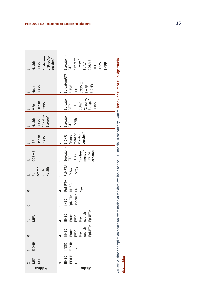| 'Instrument<br>of Pre-Ac-<br>cession"<br>COSME<br>Health<br>က် | Euroatom-<br>"Creative<br>Europe"<br>COSME<br>EUAV<br><b>UCPM</b><br>EMFF<br>Ë<br>RTP<br>뚠<br>$\dot{\infty}$ |                                                                                                                                                             |
|----------------------------------------------------------------|--------------------------------------------------------------------------------------------------------------|-------------------------------------------------------------------------------------------------------------------------------------------------------------|
| COSME<br>Health<br>ä                                           | Euroatom- Euroatom- EuroatomRTP<br>COSME<br><b>EIDHR</b><br>EMFF<br>EUAV<br>DCI<br>뚠                         | <i>Source:</i> Author's compilation based on examination of the data available on the EU Financial Transparency System, https://ec.europa.eu/budget/fts/in- |
| COSME<br>Health<br>MFA<br>က်                                   | "Creative<br>Europe"<br>COSME<br>EUAV<br>当<br><br>RTP<br>뚠<br>.<br>ف                                         |                                                                                                                                                             |
| "Creative<br>Europe"<br>COSME<br>Health<br>က်                  | Energy<br>RTP<br>Ż.                                                                                          |                                                                                                                                                             |
| COSME<br>Health<br>15F<br>က်                                   | cession"<br>ment of<br>Pre-Ac-<br>"Instru-<br>Ż.                                                             |                                                                                                                                                             |
| COSME                                                          | Euroatom-EIDHR<br>cession"<br>ment of<br>"Instru-<br>Pre-Ac-<br>EUAV<br>RTP<br>က်                            |                                                                                                                                                             |
| search<br>Health<br>Public<br>ÅΦ<br>က်                         | <b>FpNRTA</b><br>Energy<br><b>IfNSC</b><br>က်                                                                |                                                                                                                                                             |
| 0                                                              | FpNRTA<br>Ϋ́ĺΑ<br>4                                                                                          |                                                                                                                                                             |
| 0                                                              | F <sub>p</sub> NRTA linsc<br>Fisheries F6<br><b>IFNSC</b><br>က်                                              |                                                                                                                                                             |
| MFA                                                            | FpNRTA<br>search<br>Enter-<br><b>IfNSC</b><br>prise<br>Re-                                                   |                                                                                                                                                             |
| $\circ$                                                        | FpNRTA<br>search<br>Enter-<br><b>IfNSC</b><br>prise<br><u>ሌ</u>                                              |                                                                                                                                                             |
| <b>EIDHR</b>                                                   | <b>EIDHR</b><br><b>IfNSC</b><br>F7<br>က်                                                                     |                                                                                                                                                             |
| MFA<br><b>DCI</b>                                              | <b>EIDHR</b><br><b>IfNSC</b><br>F7<br>က်                                                                     | dex_en.htm                                                                                                                                                  |
| <b>B</b> vobloM                                                | <b>Ukraine</b>                                                                                               |                                                                                                                                                             |

Post-2022 EU Assistance to Eastern Neighbours: 35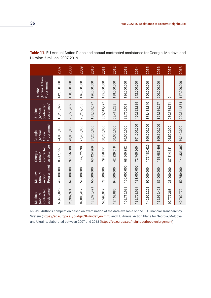| Programme)<br>Moldova<br>(Annual<br>Action          |
|-----------------------------------------------------|
| 37,056,588<br>8,917,395<br>40,000,000<br>62,300,000 |
| 142,722,393<br>52,000,000                           |
| 63,424,269<br>66,000,000                            |
| 79,358,351<br>78,600,000                            |
| 42,229,518<br>94,000,000                            |
| 68,560,252<br>100,000,000                           |
| 72,765,560<br>131,000,000                           |
| 179, 182, 626<br>90,000,000                         |
| 153,985,468<br>89,000,000                           |
| 87,314,241<br>33,000,000                            |
| 144,821,360<br>50,750,000                           |

**Table 11.** EU Annual Action Plans and annual contracted assistance for Georgia, Moldova and Ukraine, € million, 2007-2019

*Source*: Author's compilation based on examination of the data available on the EU Financial Transparency System ([https://ec.europa.eu/budget/fts/index\\_en.htm\)](https://ec.europa.eu/budget/fts/index_en.htm) and EU Annual Action Plans for Georgia, Moldova and Ukraine, elaborated between 2007 and 2018 (<https://ec.europa.eu/neighbourhood-enlargement>).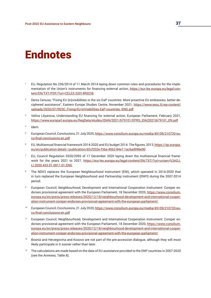# Endnotes

- <sup>1</sup> EU, Regulation No 236/2014 of 11 March 2014 laying down common rules and procedures for the implementation of the Union's instruments for financing external action, [https://eur-lex.europa.eu/legal-con](https://eur-lex.europa.eu/legal-content/EN/TXT/PDF/?uri=CELEX:32014R0236)[tent/EN/TXT/PDF/?uri=CELEX:32014R0236](https://eur-lex.europa.eu/legal-content/EN/TXT/PDF/?uri=CELEX:32014R0236)
- <sup>2</sup> Denis Cenusa, "Fixing EU (in)visibilities in the six EaP countries: More proactive EU embassies, better-deciphered assistance", Eastern Europe Studies Centre, November 2021, [https://www.eesc.lt/wp-content/](https://www.eesc.lt/wp-content/uploads/2020/07/RESC.-Fixing-EU-InVisibilities-EaP-countries.-ENG.pdf) [uploads/2020/07/RESC.-Fixing-EU-InVisibilities-EaP-countries.-ENG.pdf](https://www.eesc.lt/wp-content/uploads/2020/07/RESC.-Fixing-EU-InVisibilities-EaP-countries.-ENG.pdf)
- <sup>3</sup> Velina Lilyanova, Understanding EU financing for external action, European Parliament, February 2021, [https://www.europarl.europa.eu/RegData/etudes/IDAN/2021/679101/EPRS\\_IDA\(2021\)679101\\_EN.pdf](https://www.europarl.europa.eu/RegData/etudes/IDAN/2021/679101/EPRS_IDA(2021)679101_EN.pdf)
- 4 Idem.
- <sup>5</sup> European Council, Conclusions, 21 July 2020, [https://www.consilium.europa.eu/media/45109/210720-eu](https://www.consilium.europa.eu/media/45109/210720-euco-final-conclusions-en.pdf)[co-final-conclusions-en.pdf](https://www.consilium.europa.eu/media/45109/210720-euco-final-conclusions-en.pdf)
- <sup>6</sup>EU, Multiannual financial framework 2014-2020 and EU budget 2014: The figures, 2013, [https://op.europa.](https://op.europa.eu/en/publication-detail/-/publication/d2cf202e-f36a-45b2-84e7-1ac6ad996e90) [eu/en/publication-detail/-/publication/d2cf202e-f36a-45b2-84e7-1ac6ad996e90](https://op.europa.eu/en/publication-detail/-/publication/d2cf202e-f36a-45b2-84e7-1ac6ad996e90)
- $7$  EU, Council Regulation 2020/2093 of 17 December 2020 laying down the multiannual financial framework for the years 2021 to 2027, [https://eur-lex.europa.eu/legal-content/EN/TXT/?uri=uriserv%3AOJ.](https://eur-lex.europa.eu/legal-content/EN/TXT/?uri=uriserv%3AOJ.LI.2020.433.01.0011.01.ENG) [LI.2020.433.01.0011.01.ENG](https://eur-lex.europa.eu/legal-content/EN/TXT/?uri=uriserv%3AOJ.LI.2020.433.01.0011.01.ENG)
- <sup>8</sup> The NDICI replaces the European Neighbourhood Instrument (ENI), which operated in 2014-2020 that in turn replaced the European Neighbourhood and Partnership Instrument (ENPI) during the 2007-2014 period.
- 9 European Council, Neighbourhood, Development and International Cooperation Instrument: Coreper endorses provisional agreement with the European Parliament, 18 December 2020, [https://www.consilium.](https://www.consilium.europa.eu/en/press/press-releases/2020/12/18/neighbourhood-development-and-international-cooperation-instrument-coreper-endorses-provisional-agreement-with-the-european-parliament/) [europa.eu/en/press/press-releases/2020/12/18/neighbourhood-development-and-international-cooper](https://www.consilium.europa.eu/en/press/press-releases/2020/12/18/neighbourhood-development-and-international-cooperation-instrument-coreper-endorses-provisional-agreement-with-the-european-parliament/)[ation-instrument-coreper-endorses-provisional-agreement-with-the-european-parliament/](https://www.consilium.europa.eu/en/press/press-releases/2020/12/18/neighbourhood-development-and-international-cooperation-instrument-coreper-endorses-provisional-agreement-with-the-european-parliament/)
- <sup>10</sup> European Council, Conclusions, 21 July 2020, [https://www.consilium.europa.eu/media/45109/210720-eu](https://www.consilium.europa.eu/media/45109/210720-euco-final-conclusions-en.pdf)[co-final-conclusions-en.pdf](https://www.consilium.europa.eu/media/45109/210720-euco-final-conclusions-en.pdf)
- 11 European Council, Neighbourhood, Development and International Cooperation Instrument: Coreper endorses provisional agreement with the European Parliament, 18 December 2020, [https://www.consilium.](https://www.consilium.europa.eu/en/press/press-releases/2020/12/18/neighbourhood-development-and-international-cooperation-instrument-coreper-endorses-provisional-agreement-with-the-european-parliament/) [europa.eu/en/press/press-releases/2020/12/18/neighbourhood-development-and-international-cooper](https://www.consilium.europa.eu/en/press/press-releases/2020/12/18/neighbourhood-development-and-international-cooperation-instrument-coreper-endorses-provisional-agreement-with-the-european-parliament/)[ation-instrument-coreper-endorses-provisional-agreement-with-the-european-parliament/](https://www.consilium.europa.eu/en/press/press-releases/2020/12/18/neighbourhood-development-and-international-cooperation-instrument-coreper-endorses-provisional-agreement-with-the-european-parliament/)
- <sup>12</sup> Bosnia and Herzegovina and Kosovo are not part of the pre-accession dialogue, although they will most likely participate in it sooner rather than later.
- <sup>13</sup> The calculations are made based on the data of EU assistance provided to the ENP countries in 2007-2020 (see the Annexes, Table 8).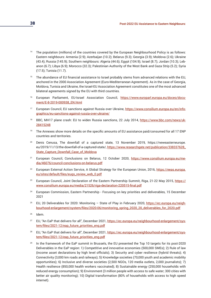- <sup>14</sup> The population (millions) of the countries covered by the European Neighbourhood Policy is as follows: Eastern neighbours: Armenia (2.9); Azerbaijan (10.2); Belarus (9.3); Georgia (3.9); Moldova (2.6); Ukraine (43.4); Russia (145.9); Southern neighbours: Algeria (44.6); Egypt (104.9); Israel (8.7); Jordan (10.3); Lebanon (6.7); Libya (6.9); Morocco (32.3); Palestinian Authority of the West Bank and Gaza Strip (5.2); Syria (17.5); Tunisia (11.7).
- <sup>15</sup> The abundance of EU financial assistance to Israel probably stems from advanced relations with the EU, anchored in the 2000 Association Agreement (Euro-Mediterranean Agreement). As in the case of Georgia, Moldova, Tunisia and Ukraine, the Israel-EU Association Agreement constitutes one of the most advanced bilateral agreements signed by the EU with third countries.
- <sup>16</sup> European Parliament, EU-Israel Association Council, [https://www.europarl.europa.eu/doceo/docu](https://www.europarl.europa.eu/doceo/document/E-8-2019-000938_EN.html)[ment/E-8-2019-000938\\_EN.html](https://www.europarl.europa.eu/doceo/document/E-8-2019-000938_EN.html)
- <sup>17</sup> European Council, EU sanctions against Russia over Ukraine, [https://www.consilium.europa.eu/en/info](https://www.consilium.europa.eu/en/infographics/eu-sanctions-against-russia-over-ukraine/)[graphics/eu-sanctions-against-russia-over-ukraine/](https://www.consilium.europa.eu/en/infographics/eu-sanctions-against-russia-over-ukraine/)
- <sup>18</sup> BBC, MH17 plane crash: EU to widen Russia sanctions, 22 July 2014, [https://www.bbc.com/news/uk-](https://www.bbc.com/news/uk-28415248)[28415248](https://www.bbc.com/news/uk-28415248)
- <sup>19</sup> The Annexes show more details on the specific amounts of EU assistance paid/consumed for all 17 ENP countries and territories.
- 20 Denis Cenusa, The downfall of a captured state, 13 November 2019, [https://neweasterneurope.](https://neweasterneurope.eu/2019/11/13/the-downfall-of-a-captured-state/) [eu/2019/11/13/the-downfall-of-a-captured-state/,](https://neweasterneurope.eu/2019/11/13/the-downfall-of-a-captured-state/) [https://www.researchgate.net/publication/338337628\\_](https://www.researchgate.net/publication/338337628_State_Capture_Downfall_Case_of_Moldova) [State\\_Capture\\_Downfall\\_Case\\_of\\_Moldova](https://www.researchgate.net/publication/338337628_State_Capture_Downfall_Case_of_Moldova)
- <sup>21</sup> European Council, Conclusions on Belarus, 12 October 2020, [https://www.consilium.europa.eu/me](https://www.consilium.europa.eu/media/46076/council-conclusions-on-belarus.pdf)[dia/46076/council-conclusions-on-belarus.pdf](https://www.consilium.europa.eu/media/46076/council-conclusions-on-belarus.pdf)
- <sup>22</sup> European External Action Service, A Global Strategy for the European Union, 2016, [https://eeas.europa.](https://eeas.europa.eu/sites/default/files/eugs_review_web_0.pdf) [eu/sites/default/files/eugs\\_review\\_web\\_0.pdf](https://eeas.europa.eu/sites/default/files/eugs_review_web_0.pdf)
- <sup>23</sup> European Council, Joint Declaration of the Eastern Partnership Summit, Riga, 21-22 May 2015, [https://](https://www.consilium.europa.eu/media/21526/riga-declaration-220515-final.pdf) [www.consilium.europa.eu/media/21526/riga-declaration-220515-final.pdf](https://www.consilium.europa.eu/media/21526/riga-declaration-220515-final.pdf)
- <sup>24</sup> European Commission, Eastern Partnership Focusing on key priorities and deliverables, 15 December 2021
- <sup>25</sup> EU, 20 Deliverables for 2020: Monitoring State of Play in February 2020, [https://ec.europa.eu/neigh](https://ec.europa.eu/neighbourhood-enlargement/system/files/2020-06/monitoring_spring_2020_20_delive)[bourhood-enlargement/system/files/2020-06/monitoring\\_spring\\_2020\\_20\\_deliverables\\_for\\_2020.pdf](https://ec.europa.eu/neighbourhood-enlargement/system/files/2020-06/monitoring_spring_2020_20_delive)
- 26 Idem.
- <sup>27</sup> EU, "An EaP that delivers for all", December 2021, [https://ec.europa.eu/neighbourhood-enlargement/sys](https://ec.europa.eu/neighbourhood-enlargement/system/files/2021-12/eap_future_priorities_eng.pdf )[tem/files/2021-12/eap\\_future\\_priorities\\_eng.pdf](https://ec.europa.eu/neighbourhood-enlargement/system/files/2021-12/eap_future_priorities_eng.pdf )
- <sup>28</sup> EU, "An EaP that delivers for all", December 2021, [https://ec.europa.eu/neighbourhood-enlargement/sys](https://ec.europa.eu/neighbourhood-enlargement/system/files/2021-12/eap_future_priorities_eng.pdf )[tem/files/2021-12/eap\\_future\\_priorities\\_eng.pdf](https://ec.europa.eu/neighbourhood-enlargement/system/files/2021-12/eap_future_priorities_eng.pdf )
- <sup>29</sup> In the framework of the EaP summit in Brussels, the EU presented the Top 10 targets for its post-2020 Deliverables in the EaP region: 1) Competitive and innovative economies (500,000 SMEs); 2) Rule of law (income asset declarations by high level officials); 3) Security and cyber resilience (hybrid threats); 4) Connectivity (3,000 km roads and railways); 5) Knowledge societies (70,000 youth and academic mobility opportunities); 6) Inclusive and diverse societies (2,500 NGOs, 120 media outlets, 2,000 journalists); 7) Health resilience (850,000 health workers vaccinated); 8) Sustainable energy (250,000 households with reduced energy consumption); 9) Environment (3 million people with access to safe water; 300 cities with better air quality monitoring); 10) Digital transformation (80% of households with access to high speed internet).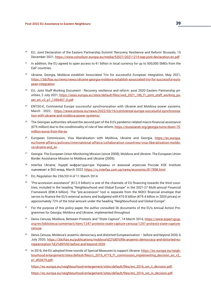- 30 EU, Joint Declaration of the Eastern Partnership Summit 'Recovery, Resilience and Reform' Brussels, 15 December 2021, <https://www.consilium.europa.eu/media/53527/20211215-eap-joint-declaration-en.pdf>
- <sup>31</sup> In addition, the EU agreed to open access to €1 billion in local currency for up to 500,000 SMEs from the EaP countries.
- <sup>32</sup> Ukraine, Georgia, Moldova establish Associated Trio for successful European integration, May 2021, [https://3dcftas.eu/news/news/ukraine-georgia-moldova-establish-associated-trio-for-successful-euro](https://3dcftas.eu/news/news/ukraine-georgia-moldova-establish-associated-trio-for-successful-europe)[pean-integration](https://3dcftas.eu/news/news/ukraine-georgia-moldova-establish-associated-trio-for-successful-europe)
- <sup>33</sup> EU, Joint Staff Working Document Recovery, resilience and reform: post 2020 Eastern Partnership priorities, 2 July 2021, [https://eeas.europa.eu/sites/default/files/swd\\_2021\\_186\\_f1\\_joint\\_staff\\_working\\_pa](https://eeas.europa.eu/sites/default/files/swd_2021_186_f1_joint_staff_working_paper_en_v2_p1_135645)[per\\_en\\_v2\\_p1\\_1356457\\_0.pdf](https://eeas.europa.eu/sites/default/files/swd_2021_186_f1_joint_staff_working_paper_en_v2_p1_135645)
- <sup>34</sup> ENTSO-E, Continental Europe successful synchronisation with Ukraine and Moldova power systems, March 2022, [https://www.entsoe.eu/news/2022/03/16/continental-europe-successful-synchronisa](https://www.entsoe.eu/news/2022/03/16/continental-europe-successful-synchronisation-with-ukraine-and)[tion-with-ukraine-and-moldova-power-systems/](https://www.entsoe.eu/news/2022/03/16/continental-europe-successful-synchronisation-with-ukraine-and)
- <sup>35</sup> The Georgian authorities refused the second part of the EU's pandemic-related macro-financial assistance (€75 million) due to the conditionality of rule of law reform, [https://eurasianet.org/georgia-turns-down-75](https://eurasianet.org/georgia-turns-down-75-million-euros-from-the-eu) [million-euros-from-the-eu](https://eurasianet.org/georgia-turns-down-75-million-euros-from-the-eu)
- 36 European Commission, Visa liberalisation with Moldova, Ukraine and Georgia, [https://ec.europa.](https://ec.europa.eu/home-affairs/policies/international-affairs/collaboration-countries/visa-libera) [eu/home-affairs/policies/international-affairs/collaboration-countries/visa-liberalisation-moldo](https://ec.europa.eu/home-affairs/policies/international-affairs/collaboration-countries/visa-libera)[va-ukraine-and\\_en](https://ec.europa.eu/home-affairs/policies/international-affairs/collaboration-countries/visa-libera)
- <sup>37</sup> Georgia: The European Union Monitoring Mission (since 2008); Moldova and Ukraine: The European Union Border Assistance Mission to Moldova and Ukraine (2005).
- <sup>38</sup>Interfax Ukraine, Ущерб инфраструктуре Украины от военной агрессии России KSE Institute оценивает в \$63 млрд, March 2022, <https://ru.interfax.com.ua/news/economic/817898.html>
- 39 EU, Regulation No 236/2014 of 11 March 2014.
- <sup>40</sup> "Pre-accession assistance" (€12.5 billion) is one of the channels of EU financing towards the third countries, included in the heading "Neighbourhood and Global Europe" in the 2021-27 Multi-annual Financial Framework (€98.4 billion). The "pre-accession" tool is separate from the NDICI financial envelope that serves to finance the EU's external actions and budgeted with €70.8 billion (€79.4 billion in 2020 prices) or approximately 72% of the total amount under the heading "Neighbourhood and Global Europe".
- 41 For the purpose of this policy paper, the author consulted 36 documents of the EU's Annual Action Programmes for Georgia, Moldova and Ukraine, implemented throughout
- 42 Denis Cenusa, Moldova, Between Protests and "State Capture", 14 March 2016, [https://www.expert-grup.](https://www.expert-grup.org/en/biblioteca/comentarii/item/1247-protests-state-capture-cenusa/1247-protests-state-capture-cenusa) [org/en/biblioteca/comentarii/item/1247-protests-state-capture-cenusa/1247-protests-state-capture](https://www.expert-grup.org/en/biblioteca/comentarii/item/1247-protests-state-capture-cenusa/1247-protests-state-capture-cenusa)[cenusa](https://www.expert-grup.org/en/biblioteca/comentarii/item/1247-protests-state-capture-cenusa/1247-protests-state-capture-cenusa)
- 43 Denis Cenusa, Moldova's anaemic democracy and distorted Europeanisation before and beyond 2020, 6 July 2020, [https://3dcftas.eu/publications/moldova%E2%80%99s-anaemic-democracy-and-distorted-eu](https://3dcftas.eu/publications/moldova%E2%80%99s-anaemic-democracy-and-distorted-europeanisation-%E)[ropeanisation-%E2%80%93-before-and-beyond-2020](https://3dcftas.eu/publications/moldova%E2%80%99s-anaemic-democracy-and-distorted-europeanisation-%E)
- In 2016, the EU adopted three rounds of Special Measures to support Ukraine: [https://ec.europa.eu/neigh](https://ec.europa.eu/neighbourhood-enlargement/sites/default/files/c_2016_4719_f1_commission_impleme)[bourhood-enlargement/sites/default/files/c\\_2016\\_4719\\_f1\\_commission\\_implementing\\_decision\\_en\\_v2\\_](https://ec.europa.eu/neighbourhood-enlargement/sites/default/files/c_2016_4719_f1_commission_impleme) [p1\\_853679.pdf](https://ec.europa.eu/neighbourhood-enlargement/sites/default/files/c_2016_4719_f1_commission_impleme);

[https://ec.europa.eu/neighbourhood-enlargement/sites/default/files/eni\\_2016\\_sm\\_ii\\_decision.pdf](https://ec.europa.eu/neighbourhood-enlargement/sites/default/files/eni_2016_sm_ii_decision.pdf); [https://ec.europa.eu/neighbourhood-enlargement/sites/default/files/eni\\_2016\\_sm\\_iii\\_decision.pdf](https://ec.europa.eu/neighbourhood-enlargement/sites/default/files/eni_2016_sm_iii_decision.pdf).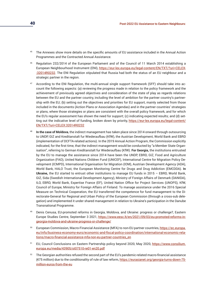- <sup>45</sup> The Annexes show more details on the specific amounts of EU assistance included in the Annual Action Programmes and the Contracted Annual Assistance.
- 46 Regulation 232/2014 of the European Parliament and of the Council of 11 March 2014 establishing a European Neighbourhood Instrument (ENI), [https://eur-lex.europa.eu/legal-content/EN/TXT/?uri=CELEX](https://eur-lex.europa.eu/legal-content/EN/TXT/?uri=CELEX:32014R0232)- [:32014R0232.](https://eur-lex.europa.eu/legal-content/EN/TXT/?uri=CELEX:32014R0232) The ENI Regulation stipulated that Russia had both the status of an EU neighbour and a strategic partner in the region.
- <sup>47</sup> According to the ENI Regulation, the multi-annual single support framework (SFF) should take into account the following aspects: (a) reviewing the progress made in relation to the policy framework and the achievement of previously agreed objectives and consideration of the state of play as regards relations between the EU and the partner country, including the level of ambition for the partner country's partnership with the EU; (b) setting out the objectives and priorities for EU support, mainly selected from those included in the documents (Action Plans or Association Agendas) and in the partner countries' strategies or plans, where those strategies or plans are consistent with the overall policy framework, and for which the EU's regular assessment has shown the need for support; (c) indicating expected results; and (d) setting out the indicative level of funding, broken down by priority, [https://eur-lex.europa.eu/legal-content/](https://eur-lex.europa.eu/legal-content/EN/TXT/?uri=CELEX:32014R0232) [EN/TXT/?uri=CELEX:32014R0232](https://eur-lex.europa.eu/legal-content/EN/TXT/?uri=CELEX:32014R0232)
- <sup>48</sup>**In the case of Moldova**, the indirect management has taken place since 2014 onward through outsourcing to UNDP, GIZ and Kreditanstalt fur Wiederaufbau (KfW), the Austrian Development, World Bank and EBRD (implementation of DCFTA-related actions). In the 2019 Annual Action Program, the Commission explicitly indicated, for the first time, that the indirect management would be conducted by "a Member State Organisation", referring to German Kreditanstalt fur Wiederaufbau (KfW). **For Georgia,** the institutions entrusted by the EU to manage the assistance since 2014 have been the UNDP, EBRD, GIZ, Food and Agriculture Organization (FAO), United Nations Children Fund (UNICEF), International Centre for Migration Policy Development (ICMPD), International Organisation for Migration (IOM), Austrian Development Agency (ADA), World Bank, HALO Trust, the European Monitoring Centre for Drugs and Drug Addiction (EMCDDA). **In Ukraine,** the EU started to entrust other institutions to manage EU funds in 2015 – EBRD, World Bank, GIZ, Sida (Swedish International Development Agency), Ministry of Foreign Affairs of Denmark (DANIDA), ILO, EBRD, World Bank, Expertise France (EF), United Nation Office for Project Services (UNOPS), KfW, Council of Europe, Ministry for Foreign Affairs of Finland. To manage assistance under the 2016 Special Measure on Technical Cooperation, the EU transferred the competence for fund management to the Directorate-General for Regional and Urban Policy of the European Commission (through a cross-sub delegation) and implemented it under shared management in relation to Ukraine's participation in the Danube Transnational Programme.
- 49 Denis Cenusa, EU-promoted reforms in Georgia, Moldova, and Ukraine: progress or challenge?, Eastern Europe Studies Centre, September 3 2021, [https://www.eesc.lt/en/2021/09/03/eu-promoted-reforms-in](https://www.eesc.lt/en/2021/09/03/eu-promoted-reforms-in-georgia-moldova-and-ukraine-progress-or-challenge/)[georgia-moldova-and-ukraine-progress-or-challenge/](https://www.eesc.lt/en/2021/09/03/eu-promoted-reforms-in-georgia-moldova-and-ukraine-progress-or-challenge/)
- 50 European Commission, Macro-Financial Assistance (MFA) to non-EU partner countries, [https://ec.europa.](https://ec.europa.eu/info/business-economy-euro/economic-and-fiscal-policy-coordination/international-economic-relations/macro-financial-assistance-mfa-non-eu-partner-countries_en) [eu/info/business-economy-euro/economic-and-fiscal-policy-coordination/international-economic-rela](https://ec.europa.eu/info/business-economy-euro/economic-and-fiscal-policy-coordination/international-economic-relations/macro-financial-assistance-mfa-non-eu-partner-countries_en)[tions/macro-financial-assistance-mfa-non-eu-partner-countries\\_en](https://ec.europa.eu/info/business-economy-euro/economic-and-fiscal-policy-coordination/international-economic-relations/macro-financial-assistance-mfa-non-eu-partner-countries_en)
- <sup>51</sup> EU, Council Conclusions on Eastern Partnership policy beyond 2020, May 2020, [https://www.consilium.](https://www.consilium.europa.eu/media/43905/st07510-re01-en20.pdf) [europa.eu/media/43905/st07510-re01-en20.pdf](https://www.consilium.europa.eu/media/43905/st07510-re01-en20.pdf)
- $52$  The Georgian authorities refused the second part of the EU's pandemic-related macro-financial assistance (€75 million) due to the conditionality of rule of law reform, [https://eurasianet.org/georgia-turns-down-75](https://eurasianet.org/georgia-turns-down-75-million-euros-from-the-eu) [million-euros-from-the-eu](https://eurasianet.org/georgia-turns-down-75-million-euros-from-the-eu)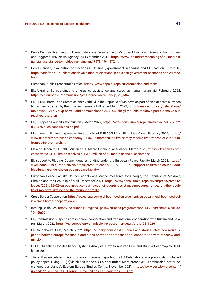- 53 Denis Cenusa, Scanning of EU macro-financial assistance to Moldova, Ukraine and Georgia: frontrunners and laggards, IPN News Agency, 24 September 2018, [https://www.ipn.md/en/scanning-of-eu-macro-fi](https://www.ipn.md/en/scanning-of-eu-macro-financial-assistance-to-moldova-ukraine-and-7978_1044272.html)[nancial-assistance-to-moldova-ukraine-and-7978\\_1044272.html](https://www.ipn.md/en/scanning-of-eu-macro-financial-assistance-to-moldova-ukraine-and-7978_1044272.html)
- 54 Denis Cenusa, Invalidation of elections in Chisinau, government scenarios and EU reaction, July 2018, [https://3dcftas.eu/publications/invalidation-of-elections-in-chisinau-government-scenarios-and-eu-reac](https://3dcftas.eu/publications/invalidation-of-elections-in-chisinau-government-scenarios-and-eu-re)[tion](https://3dcftas.eu/publications/invalidation-of-elections-in-chisinau-government-scenarios-and-eu-re)
- <sup>55</sup> European Public Prosecutor's Office, <https://www.eppo.europa.eu/en/mission-and-tasks>
- <sup>56</sup>EU, Ukraine: EU coordinating emergency assistance and steps up humanitarian aid, February 2022, [https://ec.europa.eu/commission/presscorner/detail/en/ip\\_22\\_1462](https://ec.europa.eu/commission/presscorner/detail/en/ip_22_1462)
- <sup>57</sup> EU, HR/VP Borrell and Commissioner Várhelyi in the Republic of Moldova as part of an extensive outreach to partners affected by the Russian invasion of Ukraine, March 2022, [https://eeas.europa.eu/delegations/](https://eeas.europa.eu/delegations/moldova/112171/hrvp-borrell-and-commissioner-v%C3%A1rhelyi-republ) [moldova/112171/hrvp-borrell-and-commissioner-v%C3%A1rhelyi-republic-moldova-part-extensive-out](https://eeas.europa.eu/delegations/moldova/112171/hrvp-borrell-and-commissioner-v%C3%A1rhelyi-republ)[reach-partners\\_en](https://eeas.europa.eu/delegations/moldova/112171/hrvp-borrell-and-commissioner-v%C3%A1rhelyi-republ)
- 58 EU, European Council's Conclusions, March 2022, [https://www.consilium.europa.eu/media/55082/2022-](https://www.consilium.europa.eu/media/55082/2022-03-2425-euco-conclusions-en.pdf) [03-2425-euco-conclusions-en.pdf](https://www.consilium.europa.eu/media/55082/2022-03-2425-euco-conclusions-en.pdf)
- <sup>59</sup>Marchenko: Ukraine may receive first tranche of EUR 600M from EU in late March, February 2022, [https://](https://www.ukrinform.net/rubric-economy/3406796-marchenko-ukraine-may-receive-first-tranche-of-eur-600m-from-eu-in-late-march.html) [www.ukrinform.net/rubric-economy/3406796-marchenko-ukraine-may-receive-first-tranche-of-eur-600m](https://www.ukrinform.net/rubric-economy/3406796-marchenko-ukraine-may-receive-first-tranche-of-eur-600m-from-eu-in-late-march.html)[from-eu-in-late-march.html](https://www.ukrinform.net/rubric-economy/3406796-marchenko-ukraine-may-receive-first-tranche-of-eur-600m-from-eu-in-late-march.html)
- Ukraine Receives EUR 300 Million of EU Macro-Financial Assistance, March 2022, [https://ukranews.com/](https://ukranews.com/en/news/842411-ukraine-receives-eur-300-million-of-eu-macro-financial-assistanc) [en/news/842411-ukraine-receives-eur-300-million-of-eu-macro-financial-assistance](https://ukranews.com/en/news/842411-ukraine-receives-eur-300-million-of-eu-macro-financial-assistanc)
- <sup>61</sup> EU support to Ukraine: Council doubles funding under the European Peace Facility, March 2022, [https://](https://www.consilium.europa.eu/en/press/press-releases/2022/03/23/eu-support-to-ukraine-council-dou) [www.consilium.europa.eu/en/press/press-releases/2022/03/23/eu-support-to-ukraine-council-dou](https://www.consilium.europa.eu/en/press/press-releases/2022/03/23/eu-support-to-ukraine-council-dou)[bles-funding-under-the-european-peace-facility/](https://www.consilium.europa.eu/en/press/press-releases/2022/03/23/eu-support-to-ukraine-council-dou)
- European Peace Facility: Council adopts assistance measures for Georgia, the Republic of Moldova, Ukraine and the Republic of Mali, December 2021, [https://www.consilium.europa.eu/en/press/press-re](https://www.consilium.europa.eu/en/press/press-releases/2021/12/02/european-peace-facility-council-adopts-assistance-measures-for-georgia-the-republic-of-moldova-ukraine-and-the-republic-of-mali/)[leases/2021/12/02/european-peace-facility-council-adopts-assistance-measures-for-georgia-the-repub](https://www.consilium.europa.eu/en/press/press-releases/2021/12/02/european-peace-facility-council-adopts-assistance-measures-for-georgia-the-republic-of-moldova-ukraine-and-the-republic-of-mali/)[lic-of-moldova-ukraine-and-the-republic-of-mali/](https://www.consilium.europa.eu/en/press/press-releases/2021/12/02/european-peace-facility-council-adopts-assistance-measures-for-georgia-the-republic-of-moldova-ukraine-and-the-republic-of-mali/)
- 63 Cross Border Cooperation, [https://ec.europa.eu/neighbourhood-enlargement/european-neighbourhood-pol](https://ec.europa.eu/neighbourhood-enlargement/european-neighbourhood-policy/cross-border-cooperation_en)[icy/cross-border-cooperation\\_en](https://ec.europa.eu/neighbourhood-enlargement/european-neighbourhood-policy/cross-border-cooperation_en)
- 64 Interreg Baltic Sea, [https://ec.europa.eu/regional\\_policy/en/atlas/programmes/2014-2020/denmark/2014tc-](https://ec.europa.eu/regional_policy/en/atlas/programmes/2014-2020/denmark/2014tc16m5tn001)[16m5tn001](https://ec.europa.eu/regional_policy/en/atlas/programmes/2014-2020/denmark/2014tc16m5tn001)
- 65 EU, Commission suspends cross-border cooperation and transnational cooperation with Russia and Belarus, March, 2022, [https://ec.europa.eu/commission/presscorner/detail/en/ip\\_22\\_1526](https://ec.europa.eu/commission/presscorner/detail/en/ip_22_1526)
- <sup>66</sup> EU Neighbours East, March 2022, [https://euneighbourseast.eu/news-and-stories/latest-news/eu-sus](https://euneighbourseast.eu/news-and-stories/latest-news/eu-suspends-horizon-europe-for-russia-and-cross-border-and-transnational-cooperation-with-moscow-and-minsk/)[pends-horizon-europe-for-russia-and-cross-border-and-transnational-cooperation-with-moscow-and](https://euneighbourseast.eu/news-and-stories/latest-news/eu-suspends-horizon-europe-for-russia-and-cross-border-and-transnational-cooperation-with-moscow-and-minsk/)[minsk/](https://euneighbourseast.eu/news-and-stories/latest-news/eu-suspends-horizon-europe-for-russia-and-cross-border-and-transnational-cooperation-with-moscow-and-minsk/)
- <sup>67</sup> OECD, Guidelines for Resilience Systems Analysis: How to Analyse Risk and Build a Roadmap to Resilience, 2014.
- The author underlined the importance of annual reporting by EU Delegations in a previously published policy paper "Fixing EU (in)visibilities in the six EaP countries: More proactive EU embassies, better deciphered assistance", Eastern Europe Studies Centre, November 2021, [https://www.eesc.lt/wp-content/](https://www.eesc.lt/wp-content/uploads/2020/07/RESC.-Fixing-EU-InVisibilities-EaP-countries.-ENG.pdf) [uploads/2020/07/RESC.-Fixing-EU-InVisibilities-EaP-countries.-ENG.pdf](https://www.eesc.lt/wp-content/uploads/2020/07/RESC.-Fixing-EU-InVisibilities-EaP-countries.-ENG.pdf)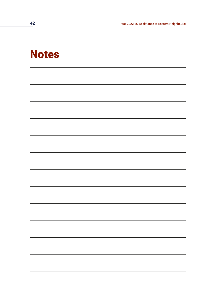**42 Post-2022 EU Assistance to Eastern Neighbours:** 

### **Notes**

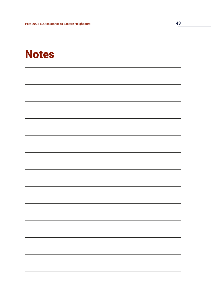### Notes